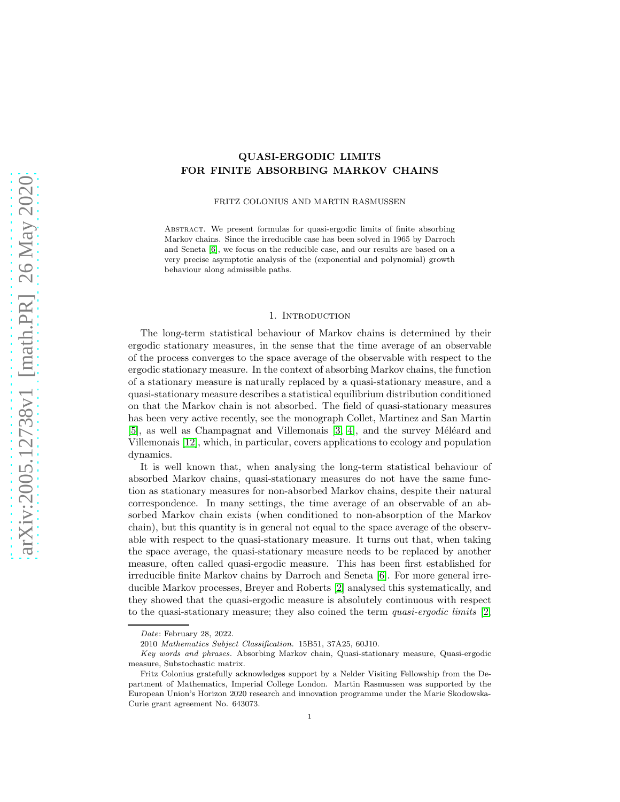# QUASI-ERGODIC LIMITS FOR FINITE ABSORBING MARKOV CHAINS

FRITZ COLONIUS AND MARTIN RASMUSSEN

ABSTRACT. We present formulas for quasi-ergodic limits of finite absorbing Markov chains. Since the irreducible case has been solved in 1965 by Darroch and Seneta [\[6\]](#page-28-0), we focus on the reducible case, and our results are based on a very precise asymptotic analysis of the (exponential and polynomial) growth behaviour along admissible paths.

## 1. INTRODUCTION

The long-term statistical behaviour of Markov chains is determined by their ergodic stationary measures, in the sense that the time average of an observable of the process converges to the space average of the observable with respect to the ergodic stationary measure. In the context of absorbing Markov chains, the function of a stationary measure is naturally replaced by a quasi-stationary measure, and a quasi-stationary measure describes a statistical equilibrium distribution conditioned on that the Markov chain is not absorbed. The field of quasi-stationary measures has been very active recently, see the monograph Collet, Martinez and San Martin  $[5]$ , as well as Champagnat and Villemonais  $[3, 4]$  $[3, 4]$ , and the survey Méléard and Villemonais [\[12\]](#page-29-0), which, in particular, covers applications to ecology and population dynamics.

It is well known that, when analysing the long-term statistical behaviour of absorbed Markov chains, quasi-stationary measures do not have the same function as stationary measures for non-absorbed Markov chains, despite their natural correspondence. In many settings, the time average of an observable of an absorbed Markov chain exists (when conditioned to non-absorption of the Markov chain), but this quantity is in general not equal to the space average of the observable with respect to the quasi-stationary measure. It turns out that, when taking the space average, the quasi-stationary measure needs to be replaced by another measure, often called quasi-ergodic measure. This has been first established for irreducible finite Markov chains by Darroch and Seneta [\[6\]](#page-28-0). For more general irreducible Markov processes, Breyer and Roberts [\[2\]](#page-28-4) analysed this systematically, and they showed that the quasi-ergodic measure is absolutely continuous with respect to the quasi-stationary measure; they also coined the term *quasi-ergodic limits* [\[2,](#page-28-4)

Date: February 28, 2022.

<sup>2010</sup> Mathematics Subject Classification. 15B51, 37A25, 60J10.

Key words and phrases. Absorbing Markov chain, Quasi-stationary measure, Quasi-ergodic measure, Substochastic matrix.

Fritz Colonius gratefully acknowledges support by a Nelder Visiting Fellowship from the Department of Mathematics, Imperial College London. Martin Rasmussen was supported by the European Union's Horizon 2020 research and innovation programme under the Marie Skodowska-Curie grant agreement No. 643073.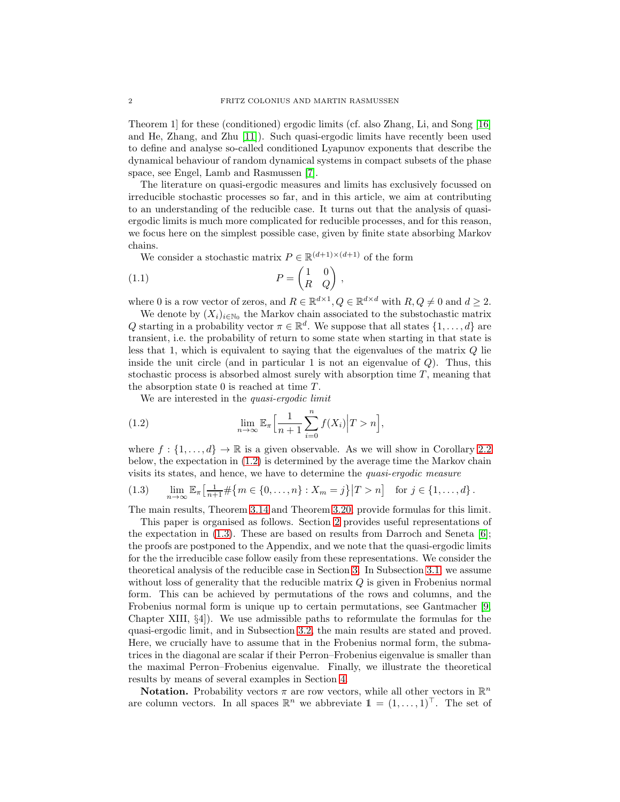Theorem 1] for these (conditioned) ergodic limits (cf. also Zhang, Li, and Song [\[16\]](#page-29-1) and He, Zhang, and Zhu [\[11\]](#page-29-2)). Such quasi-ergodic limits have recently been used to define and analyse so-called conditioned Lyapunov exponents that describe the dynamical behaviour of random dynamical systems in compact subsets of the phase space, see Engel, Lamb and Rasmussen [\[7\]](#page-28-5).

The literature on quasi-ergodic measures and limits has exclusively focussed on irreducible stochastic processes so far, and in this article, we aim at contributing to an understanding of the reducible case. It turns out that the analysis of quasiergodic limits is much more complicated for reducible processes, and for this reason, we focus here on the simplest possible case, given by finite state absorbing Markov chains.

<span id="page-1-2"></span>We consider a stochastic matrix  $P \in \mathbb{R}^{(d+1)\times(d+1)}$  of the form

$$
(1.1) \t\t P = \begin{pmatrix} 1 & 0 \\ R & Q \end{pmatrix},
$$

where 0 is a row vector of zeros, and  $R \in \mathbb{R}^{d \times 1}$ ,  $Q \in \mathbb{R}^{d \times d}$  with  $R, Q \neq 0$  and  $d \geq 2$ .

We denote by  $(X_i)_{i\in\mathbb{N}_0}$  the Markov chain associated to the substochastic matrix Q starting in a probability vector  $\pi \in \mathbb{R}^d$ . We suppose that all states  $\{1, \ldots, d\}$  are transient, i.e. the probability of return to some state when starting in that state is less that 1, which is equivalent to saying that the eigenvalues of the matrix  $Q$  lie inside the unit circle (and in particular 1 is not an eigenvalue of  $Q$ ). Thus, this stochastic process is absorbed almost surely with absorption time  $T$ , meaning that the absorption state 0 is reached at time  $T$ .

<span id="page-1-0"></span>We are interested in the *quasi-ergodic limit*

(1.2) 
$$
\lim_{n \to \infty} \mathbb{E}_{\pi} \Big[ \frac{1}{n+1} \sum_{i=0}^{n} f(X_i) \Big| T > n \Big],
$$

where  $f: \{1, \ldots, d\} \to \mathbb{R}$  is a given observable. As we will show in Corollary [2.2](#page-3-0) below, the expectation in [\(1.2\)](#page-1-0) is determined by the average time the Markov chain visits its states, and hence, we have to determine the *quasi-ergodic measure*

<span id="page-1-1"></span>
$$
(1.3) \qquad \lim_{n \to \infty} \mathbb{E}_{\pi} \left[ \frac{1}{n+1} \# \{ m \in \{ 0, \ldots, n \} : X_m = j \} \middle| T > n \right] \quad \text{for } j \in \{ 1, \ldots, d \} \, .
$$

The main results, Theorem [3.14](#page-18-0) and Theorem [3.20,](#page-22-0) provide formulas for this limit.

This paper is organised as follows. Section [2](#page-2-0) provides useful representations of the expectation in  $(1.3)$ . These are based on results from Darroch and Seneta [\[6\]](#page-28-0); the proofs are postponed to the Appendix, and we note that the quasi-ergodic limits for the the irreducible case follow easily from these representations. We consider the theoretical analysis of the reducible case in Section [3.](#page-3-1) In Subsection [3.1,](#page-4-0) we assume without loss of generality that the reducible matrix Q is given in Frobenius normal form. This can be achieved by permutations of the rows and columns, and the Frobenius normal form is unique up to certain permutations, see Gantmacher [\[9,](#page-29-3) Chapter XIII, §4]). We use admissible paths to reformulate the formulas for the quasi-ergodic limit, and in Subsection [3.2,](#page-8-0) the main results are stated and proved. Here, we crucially have to assume that in the Frobenius normal form, the submatrices in the diagonal are scalar if their Perron–Frobenius eigenvalue is smaller than the maximal Perron–Frobenius eigenvalue. Finally, we illustrate the theoretical results by means of several examples in Section [4.](#page-23-0)

**Notation.** Probability vectors  $\pi$  are row vectors, while all other vectors in  $\mathbb{R}^n$ are column vectors. In all spaces  $\mathbb{R}^n$  we abbreviate  $\mathbb{1} = (1, \ldots, 1)^\top$ . The set of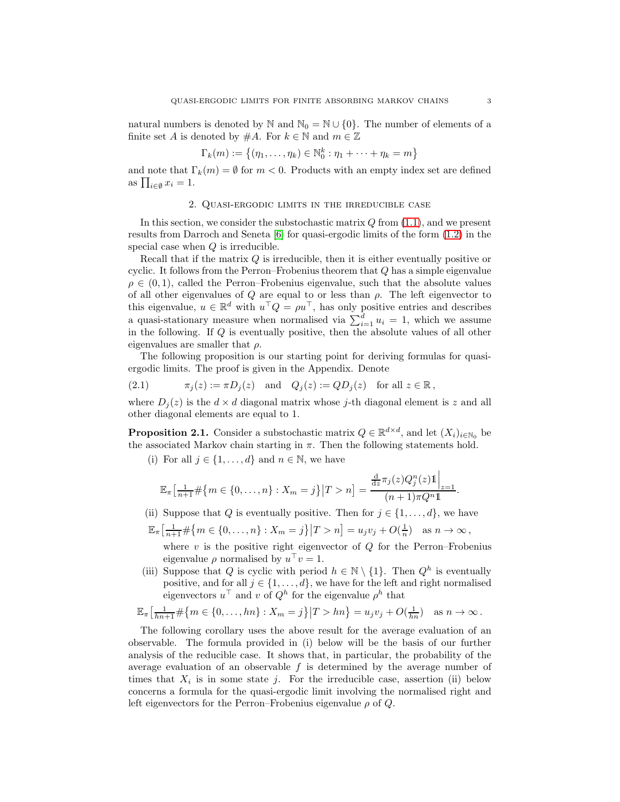natural numbers is denoted by N and  $\mathbb{N}_0 = \mathbb{N} \cup \{0\}$ . The number of elements of a finite set A is denoted by  $#A$ . For  $k \in \mathbb{N}$  and  $m \in \mathbb{Z}$ 

$$
\Gamma_k(m) := \{(\eta_1,\ldots,\eta_k) \in \mathbb{N}_0^k : \eta_1 + \cdots + \eta_k = m\}
$$

<span id="page-2-0"></span>and note that  $\Gamma_k(m) = \emptyset$  for  $m < 0$ . Products with an empty index set are defined as  $\prod_{i\in\emptyset}x_i=1$ .

### 2. Quasi-ergodic limits in the irreducible case

In this section, we consider the substochastic matrix  $Q$  from  $(1.1)$ , and we present results from Darroch and Seneta [\[6\]](#page-28-0) for quasi-ergodic limits of the form [\(1.2\)](#page-1-0) in the special case when  $Q$  is irreducible.

Recall that if the matrix Q is irreducible, then it is either eventually positive or cyclic. It follows from the Perron–Frobenius theorem that Q has a simple eigenvalue  $\rho \in (0, 1)$ , called the Perron–Frobenius eigenvalue, such that the absolute values of all other eigenvalues of  $Q$  are equal to or less than  $\rho$ . The left eigenvector to this eigenvalue,  $u \in \mathbb{R}^d$  with  $u^\top Q = \rho u^\top$ , has only positive entries and describes a quasi-stationary measure when normalised via  $\sum_{i=1}^{d} u_i = 1$ , which we assume in the following. If Q is eventually positive, then the absolute values of all other eigenvalues are smaller that  $\rho$ .

The following proposition is our starting point for deriving formulas for quasiergodic limits. The proof is given in the Appendix. Denote

<span id="page-2-2"></span>(2.1) 
$$
\pi_j(z) := \pi D_j(z) \quad \text{and} \quad Q_j(z) := Q D_j(z) \quad \text{for all } z \in \mathbb{R},
$$

where  $D_i(z)$  is the  $d \times d$  diagonal matrix whose j-th diagonal element is z and all other diagonal elements are equal to 1.

<span id="page-2-1"></span>**Proposition 2.1.** Consider a substochastic matrix  $Q \in \mathbb{R}^{d \times d}$ , and let  $(X_i)_{i \in \mathbb{N}_0}$  be the associated Markov chain starting in  $\pi$ . Then the following statements hold.

(i) For all  $j \in \{1, \ldots, d\}$  and  $n \in \mathbb{N}$ , we have

$$
\mathbb{E}_{\pi} \left[ \frac{1}{n+1} \# \{ m \in \{ 0, \ldots, n \} : X_m = j \} \middle| T > n \right] = \frac{\frac{d}{dz} \pi_j(z) Q_j^n(z) \mathbb{1} \Big|_{z=1}}{(n+1) \pi Q^n \mathbb{1}}.
$$

- (ii) Suppose that Q is eventually positive. Then for  $j \in \{1, \ldots, d\}$ , we have
- $\mathbb{E}_{\pi} \left[ \frac{1}{n+1} \# \{ m \in \{0, ..., n\} : X_m = j \} \middle| T > n \right] = u_j v_j + O(\frac{1}{n}) \text{ as } n \to \infty,$

where  $v$  is the positive right eigenvector of  $Q$  for the Perron–Frobenius eigenvalue  $\rho$  normalised by  $u^{\top} v = 1$ .

(iii) Suppose that Q is cyclic with period  $h \in \mathbb{N} \setminus \{1\}$ . Then  $Q^h$  is eventually positive, and for all  $j \in \{1, ..., d\}$ , we have for the left and right normalised eigenvectors  $u^{\top}$  and v of  $Q^{h}$  for the eigenvalue  $\rho^{h}$  that

$$
\mathbb{E}_{\pi} \left[ \frac{1}{hn+1} \# \{ m \in \{ 0, \ldots, hn \} : X_m = j \} \middle| T > hn \right\} = u_j v_j + O(\frac{1}{hn}) \text{ as } n \to \infty.
$$

The following corollary uses the above result for the average evaluation of an observable. The formula provided in (i) below will be the basis of our further analysis of the reducible case. It shows that, in particular, the probability of the average evaluation of an observable  $f$  is determined by the average number of times that  $X_i$  is in some state j. For the irreducible case, assertion (ii) below concerns a formula for the quasi-ergodic limit involving the normalised right and left eigenvectors for the Perron–Frobenius eigenvalue  $\rho$  of  $Q$ .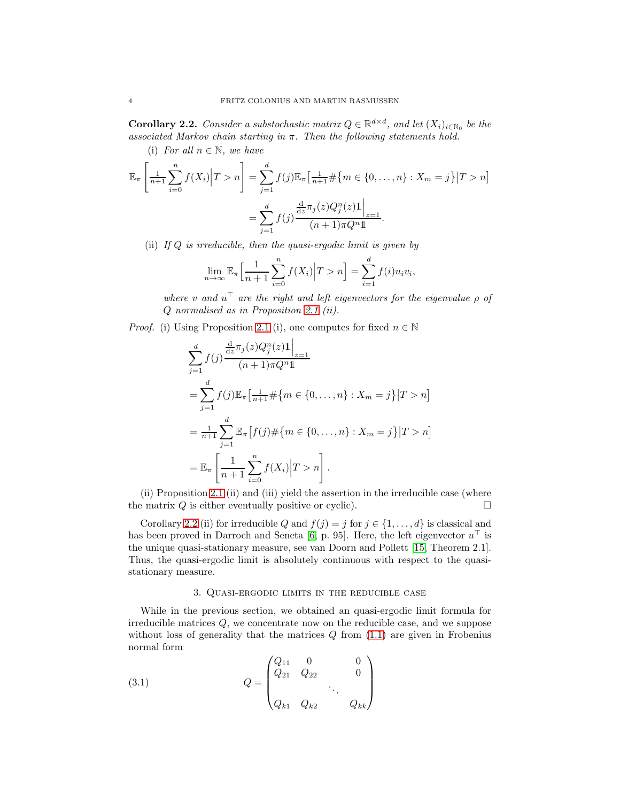<span id="page-3-0"></span>**Corollary 2.2.** *Consider a substochastic matrix*  $Q \in \mathbb{R}^{d \times d}$ *, and let*  $(X_i)_{i \in \mathbb{N}_0}$  *be the associated Markov chain starting in* π*. Then the following statements hold.*

(i) *For all*  $n \in \mathbb{N}$ *, we have* 

$$
\mathbb{E}_{\pi} \left[ \frac{1}{n+1} \sum_{i=0}^{n} f(X_i) \middle| T > n \right] = \sum_{j=1}^{d} f(j) \mathbb{E}_{\pi} \left[ \frac{1}{n+1} \# \{ m \in \{ 0, \dots, n \} : X_m = j \} \middle| T > n \right]
$$

$$
= \sum_{j=1}^{d} f(j) \frac{\frac{d}{dz} \pi_j(z) Q_j^n(z) \mathbb{1} \Big|_{z=1}}{(n+1) \pi Q^n \mathbb{1}}.
$$

(ii) *If* Q *is irreducible, then the quasi-ergodic limit is given by*

$$
\lim_{n \to \infty} \mathbb{E}_{\pi} \Big[ \frac{1}{n+1} \sum_{i=0}^{n} f(X_i) \Big| T > n \Big] = \sum_{i=1}^{d} f(i) u_i v_i,
$$

 $where v$  and  $u^{\top}$  are the right and left eigenvectors for the eigenvalue  $\rho$  of Q *normalised as in Proposition [2.1](#page-2-1) (ii).*

*Proof.* (i) Using Proposition [2.1](#page-2-1) (i), one computes for fixed  $n \in \mathbb{N}$ 

$$
\sum_{j=1}^{d} f(j) \frac{\frac{d}{dz} \pi_j(z) Q_j^n(z) \mathbb{1} \Big|_{z=1}}{(n+1) \pi Q^n \mathbb{1}}
$$
\n
$$
= \sum_{j=1}^{d} f(j) \mathbb{E}_{\pi} \Big[ \frac{1}{n+1} \# \{ m \in \{ 0, \dots, n \} : X_m = j \} | T > n \Big]
$$
\n
$$
= \frac{1}{n+1} \sum_{j=1}^{d} \mathbb{E}_{\pi} \Big[ f(j) \# \{ m \in \{ 0, \dots, n \} : X_m = j \} | T > n \Big]
$$
\n
$$
= \mathbb{E}_{\pi} \Big[ \frac{1}{n+1} \sum_{i=0}^{n} f(X_i) | T > n \Big].
$$

(ii) Proposition [2.1](#page-2-1) (ii) and (iii) yield the assertion in the irreducible case (where the matrix  $Q$  is either eventually positive or cyclic).

Corollary [2.2](#page-3-0) (ii) for irreducible Q and  $f(j) = j$  for  $j \in \{1, ..., d\}$  is classical and has been proved in Darroch and Seneta [\[6,](#page-28-0) p. 95]. Here, the left eigenvector  $u^{\top}$  is the unique quasi-stationary measure, see van Doorn and Pollett [\[15,](#page-29-4) Theorem 2.1]. Thus, the quasi-ergodic limit is absolutely continuous with respect to the quasistationary measure.

#### <span id="page-3-2"></span>3. Quasi-ergodic limits in the reducible case

<span id="page-3-1"></span>While in the previous section, we obtained an quasi-ergodic limit formula for irreducible matrices Q, we concentrate now on the reducible case, and we suppose without loss of generality that the matrices  $Q$  from  $(1.1)$  are given in Frobenius normal form

(3.1) 
$$
Q = \begin{pmatrix} Q_{11} & 0 & 0 \\ Q_{21} & Q_{22} & 0 \\ & & \ddots & \\ Q_{k1} & Q_{k2} & Q_{kk} \end{pmatrix}
$$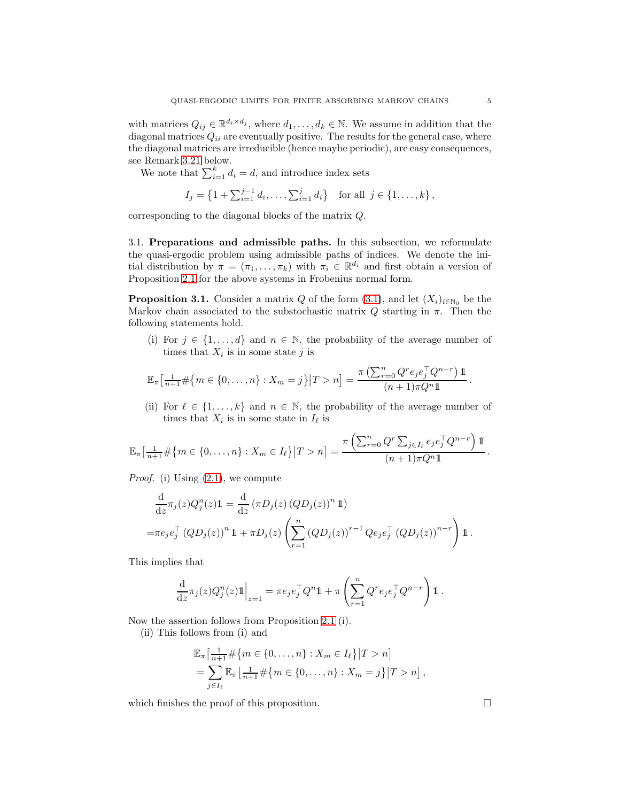with matrices  $Q_{ij} \in \mathbb{R}^{d_i \times d_j}$ , where  $d_1, \ldots, d_k \in \mathbb{N}$ . We assume in addition that the diagonal matrices  $Q_{ii}$  are eventually positive. The results for the general case, where the diagonal matrices are irreducible (hence maybe periodic), are easy consequences, see Remark [3.21](#page-22-1) below.

We note that  $\sum_{i=1}^{k} d_i = d$ , and introduce index sets

$$
I_j = \left\{1 + \sum_{i=1}^{j-1} d_i, \dots, \sum_{i=1}^{j} d_i\right\} \text{ for all } j \in \{1, \dots, k\},\
$$

corresponding to the diagonal blocks of the matrix Q.

<span id="page-4-0"></span>3.1. Preparations and admissible paths. In this subsection, we reformulate the quasi-ergodic problem using admissible paths of indices. We denote the initial distribution by  $\pi = (\pi_1, \ldots, \pi_k)$  with  $\pi_i \in \mathbb{R}^{d_i}$  and first obtain a version of Proposition [2.1](#page-2-1) for the above systems in Frobenius normal form.

<span id="page-4-1"></span>**Proposition 3.1.** Consider a matrix Q of the form  $(3.1)$ , and let  $(X_i)_{i\in\mathbb{N}_0}$  be the Markov chain associated to the substochastic matrix  $Q$  starting in  $\pi$ . Then the following statements hold.

(i) For  $j \in \{1, \ldots, d\}$  and  $n \in \mathbb{N}$ , the probability of the average number of times that  $X_i$  is in some state j is

$$
\mathbb{E}_{\pi} \left[ \frac{1}{n+1} \# \{ m \in \{ 0, \ldots, n \} : X_m = j \} \middle| T > n \right] = \frac{\pi \left( \sum_{r=0}^n Q^r e_j e_j^{\top} Q^{n-r} \right) \mathbb{1}}{(n+1) \pi Q^n \mathbb{1}}.
$$

(ii) For  $\ell \in \{1, ..., k\}$  and  $n \in \mathbb{N}$ , the probability of the average number of times that  $X_i$  is in some state in  $I_\ell$  is

$$
\mathbb{E}_{\pi} \left[ \frac{1}{n+1} \# \{ m \in \{ 0, \ldots, n \} : X_m \in I_{\ell} \} | T > n \right] = \frac{\pi \left( \sum_{r=0}^n Q^r \sum_{j \in I_{\ell}} e_j e_j^{\top} Q^{n-r} \right) \mathbb{1}}{(n+1) \pi Q^n \mathbb{1}}.
$$

*Proof.* (i) Using [\(2.1\)](#page-2-2), we compute

$$
\frac{\mathrm{d}}{\mathrm{d}z}\pi_j(z)Q_j^n(z)\mathbf{1} = \frac{\mathrm{d}}{\mathrm{d}z}(\pi D_j(z) (Q D_j(z))^n \mathbf{1})
$$
\n
$$
= \pi e_j e_j^\top (Q D_j(z))^n \mathbf{1} + \pi D_j(z) \left(\sum_{r=1}^n (Q D_j(z))^{r-1} Q e_j e_j^\top (Q D_j(z))^{n-r}\right) \mathbf{1}.
$$

This implies that

$$
\frac{\mathrm{d}}{\mathrm{d}z}\pi_j(z)Q_j^n(z)\mathbb{1}\Big|_{z=1} = \pi e_j e_j^\top Q^n \mathbb{1} + \pi \left(\sum_{r=1}^n Q^r e_j e_j^\top Q^{n-r}\right) \mathbb{1}.
$$

Now the assertion follows from Proposition [2.1](#page-2-1) (i).

(ii) This follows from (i) and

$$
\mathbb{E}_{\pi} \left[ \frac{1}{n+1} \# \{ m \in \{ 0, \dots, n \} : X_m \in I_{\ell} \} | T > n \right] \n= \sum_{j \in I_{\ell}} \mathbb{E}_{\pi} \left[ \frac{1}{n+1} \# \{ m \in \{ 0, \dots, n \} : X_m = j \} | T > n \right],
$$

which finishes the proof of this proposition.  $\Box$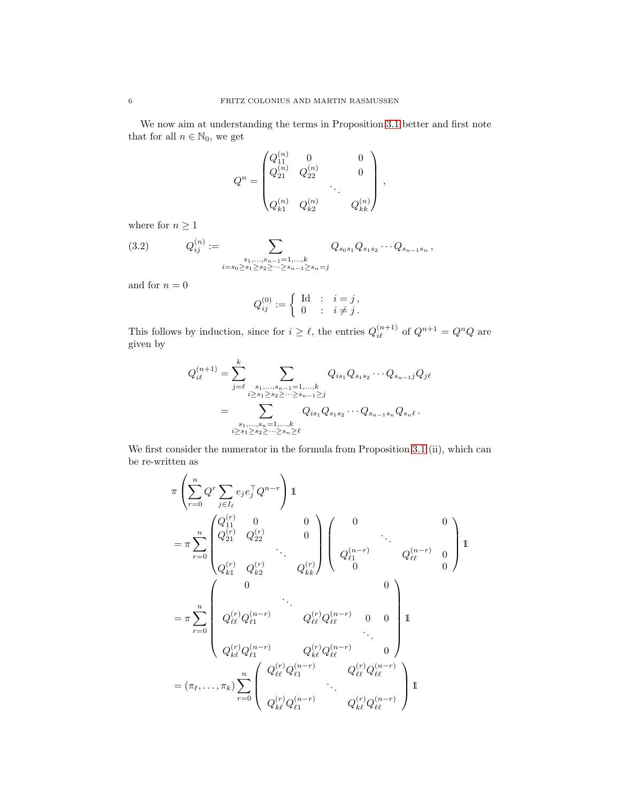We now aim at understanding the terms in Proposition [3.1](#page-4-1) better and first note that for all  $n\in\mathbb{N}_0,$  we get

$$
Q^{n} = \begin{pmatrix} Q_{11}^{(n)} & 0 & 0 \\ Q_{21}^{(n)} & Q_{22}^{(n)} & 0 \\ \vdots & \vdots & \ddots & \vdots \\ Q_{k1}^{(n)} & Q_{k2}^{(n)} & Q_{kk}^{(n)} \end{pmatrix},
$$

where for  $n\geq 1$ 

<span id="page-5-0"></span>(3.2) 
$$
Q_{ij}^{(n)} := \sum_{\substack{s_1,\ldots,s_{n-1}=1,\ldots,k\\i=s_0\ge s_1\ge s_2\ge\cdots\ge s_{n-1}\ge s_n=j}} Q_{s_0s_1} Q_{s_1s_2} \cdots Q_{s_{n-1}s_n},
$$

and for  $\bar{n}=0$ 

$$
Q_{ij}^{(0)} := \begin{cases} \text{Id} & : i = j \\ 0 & : i \neq j \end{cases}.
$$

This follows by induction, since for  $i \geq \ell$ , the entries  $Q_{i\ell}^{(n+1)}$  of  $Q^{n+1} = Q^n Q$  are given by

$$
Q_{i\ell}^{(n+1)} = \sum_{j=\ell}^{k} \sum_{\substack{s_1,\ldots,s_{n-1}=1,\ldots,k\\i\geq s_1\geq s_2\geq\cdots\geq s_{n-1}\geq j}} Q_{is_1} Q_{s_1s_2} \cdots Q_{s_{n-1}j} Q_{j\ell}
$$
  
= 
$$
\sum_{\substack{s_1,\ldots,s_n=1,\ldots,k\\i\geq s_1\geq s_2\geq\cdots\geq s_n\geq \ell}} Q_{is_1} Q_{s_1s_2} \cdots Q_{s_{n-1}s_n} Q_{s_n\ell}.
$$

We first consider the numerator in the formula from Proposition [3.1](#page-4-1) (ii), which can be re-written as

$$
\pi \left( \sum_{r=0}^{n} Q^{r} \sum_{j \in I_{\ell}} e_{j} e_{j}^{\top} Q^{n-r} \right) \mathbb{1}
$$
\n
$$
= \pi \sum_{r=0}^{n} \begin{pmatrix} Q_{11}^{(r)} & 0 & 0 \\ Q_{21}^{(r)} & Q_{22}^{(r)} & 0 \\ \vdots & \vdots & \vdots \\ Q_{k1}^{(r)} & Q_{k2}^{(r)} & Q_{kk}^{(r)} \end{pmatrix} \begin{pmatrix} 0 & 0 \\ Q_{\ell 1}^{(n-r)} & 0 \\ \vdots \\ Q_{\ell k}^{(n-r)} & Q_{\ell k}^{(n-r)} \end{pmatrix} \mathbb{1}
$$
\n
$$
= \pi \sum_{r=0}^{n} \begin{pmatrix} 0 & 0 \\ Q_{\ell \ell}^{(r)} Q_{\ell 1}^{(n-r)} & Q_{\ell \ell}^{(r)} Q_{\ell \ell}^{(n-r)} & 0 & 0 \\ \vdots & \vdots & \ddots & \vdots \\ Q_{k\ell}^{(r)} Q_{\ell 1}^{(n-r)} & Q_{\ell \ell}^{(r)} Q_{\ell \ell}^{(n-r)} & 0 \end{pmatrix}
$$
\n
$$
= (\pi_{\ell}, \dots, \pi_{k}) \sum_{r=0}^{n} \begin{pmatrix} Q_{\ell \ell}^{(r)} Q_{\ell 1}^{(n-r)} & Q_{\ell \ell}^{(r)} Q_{\ell \ell}^{(n-r)} \\ \vdots & \vdots \\ Q_{k\ell}^{(r)} Q_{\ell 1}^{(n-r)} & Q_{\ell \ell}^{(r)} Q_{\ell \ell}^{(n-r)} \end{pmatrix} \mathbb{1}
$$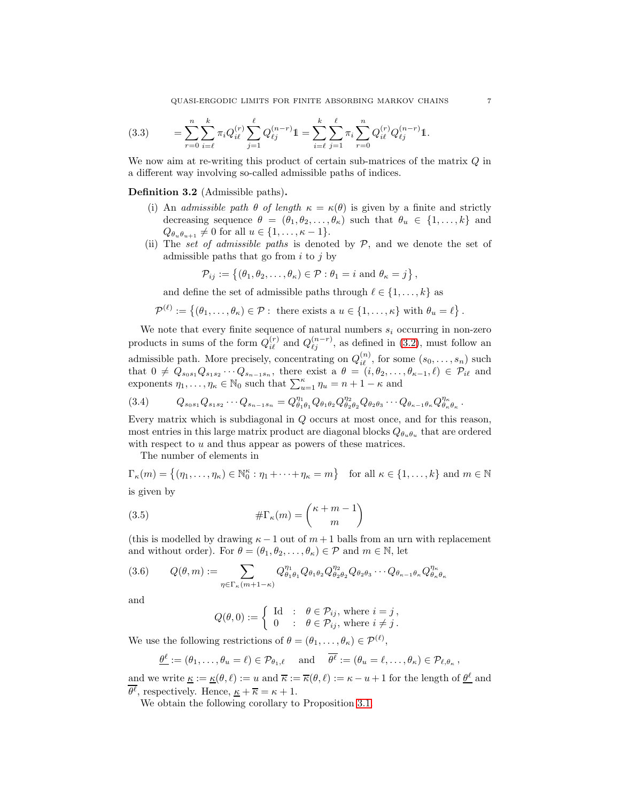<span id="page-6-0"></span>
$$
(3.3) \qquad = \sum_{r=0}^{n} \sum_{i=\ell}^{k} \pi_i Q_{i\ell}^{(r)} \sum_{j=1}^{\ell} Q_{\ell j}^{(n-r)} \mathbb{1} = \sum_{i=\ell}^{k} \sum_{j=1}^{\ell} \pi_i \sum_{r=0}^{n} Q_{i\ell}^{(r)} Q_{\ell j}^{(n-r)} \mathbb{1}.
$$

We now aim at re-writing this product of certain sub-matrices of the matrix  $Q$  in a different way involving so-called admissible paths of indices.

Definition 3.2 (Admissible paths).

- (i) An *admissible path*  $\theta$  *of length*  $\kappa = \kappa(\theta)$  is given by a finite and strictly decreasing sequence  $\theta = (\theta_1, \theta_2, \dots, \theta_\kappa)$  such that  $\theta_u \in \{1, \dots, k\}$  and  $Q_{\theta_u \theta_{u+1}} \neq 0$  for all  $u \in \{1, \ldots, \kappa - 1\}.$
- (ii) The *set of admissible paths* is denoted by P, and we denote the set of admissible paths that go from  $i$  to  $j$  by

$$
\mathcal{P}_{ij} := \{(\theta_1, \theta_2, \dots, \theta_\kappa) \in \mathcal{P} : \theta_1 = i \text{ and } \theta_\kappa = j\},\
$$

and define the set of admissible paths through  $\ell \in \{1, \ldots, k\}$  as

$$
\mathcal{P}^{(\ell)} := \{(\theta_1,\ldots,\theta_\kappa) \in \mathcal{P} : \text{ there exists a } u \in \{1,\ldots,\kappa\} \text{ with } \theta_u = \ell\}.
$$

We note that every finite sequence of natural numbers  $s_i$  occurring in non-zero products in sums of the form  $Q_{i\ell}^{(r)}$  and  $Q_{\ell j}^{(n-r)}$ , as defined in [\(3.2\)](#page-5-0), must follow an admissible path. More precisely, concentrating on  $Q_{i\ell}^{(n)}$ , for some  $(s_0, \ldots, s_n)$  such that  $0 \neq Q_{s_0s_1}Q_{s_1s_2}\cdots Q_{s_{n-1}s_n}$ , there exist a  $\theta = (i, \theta_2, \ldots, \theta_{\kappa-1}, \ell) \in \mathcal{P}_{i\ell}$  and exponents  $\eta_1, \ldots, \eta_\kappa \in \mathbb{N}_0$  such that  $\sum_{u=1}^\kappa \eta_u = n + 1 - \kappa$  and

$$
(3.4) \qquad Q_{s_0s_1}Q_{s_1s_2}\cdots Q_{s_{n-1}s_n}=Q_{\theta_1\theta_1}^{\eta_1}Q_{\theta_1\theta_2}Q_{\theta_2\theta_2}^{\eta_2}Q_{\theta_2\theta_3}\cdots Q_{\theta_{\kappa-1}\theta_{\kappa}}Q_{\theta_{\kappa}\theta_{\kappa}}^{\eta_{\kappa}}.
$$

Every matrix which is subdiagonal in Q occurs at most once, and for this reason, most entries in this large matrix product are diagonal blocks  $Q_{\theta_u \theta_u}$  that are ordered with respect to  $u$  and thus appear as powers of these matrices.

The number of elements in

 $\Gamma_{\kappa}(m) = \{(\eta_1, \ldots, \eta_{\kappa}) \in \mathbb{N}_0^{\kappa} : \eta_1 + \cdots + \eta_{\kappa} = m\}$  for all  $\kappa \in \{1, \ldots, k\}$  and  $m \in \mathbb{N}$ is given by

(3.5) 
$$
\#\Gamma_{\kappa}(m) = {\kappa + m - 1 \choose m}
$$

(this is modelled by drawing  $\kappa - 1$  out of  $m + 1$  balls from an urn with replacement and without order). For  $\theta = (\theta_1, \theta_2, \dots, \theta_\kappa) \in \mathcal{P}$  and  $m \in \mathbb{N}$ , let

<span id="page-6-2"></span>
$$
(3.6) \qquad Q(\theta,m):=\sum_{\eta\in\Gamma_{\kappa}(m+1-\kappa)}Q_{\theta_1\theta_1}^{\eta_1}Q_{\theta_1\theta_2}Q_{\theta_2\theta_2}^{\eta_2}Q_{\theta_2\theta_3}\cdots Q_{\theta_{\kappa-1}\theta_{\kappa}}Q_{\theta_{\kappa}\theta_{\kappa}}^{\eta_{\kappa}}
$$

and

<span id="page-6-1"></span>
$$
Q(\theta,0) := \begin{cases} \text{Id} & : \theta \in \mathcal{P}_{ij}, \text{ where } i = j, \\ 0 & : \theta \in \mathcal{P}_{ij}, \text{ where } i \neq j. \end{cases}
$$

We use the following restrictions of  $\theta = (\theta_1, \dots, \theta_\kappa) \in \mathcal{P}^{(\ell)}$ ,

$$
\underline{\theta}^{\ell} := (\theta_1, \dots, \theta_u = \ell) \in \mathcal{P}_{\theta_1, \ell} \quad \text{and} \quad \overline{\theta^{\ell}} := (\theta_u = \ell, \dots, \theta_{\kappa}) \in \mathcal{P}_{\ell, \theta_{\kappa}},
$$

and we write  $\underline{\kappa} := \underline{\kappa}(\theta, \ell) := u$  and  $\overline{\kappa} := \overline{\kappa}(\theta, \ell) := \kappa - u + 1$  for the length of  $\underline{\theta}^{\ell}$  and  $\theta^{\ell}$ , respectively. Hence,  $\underline{\kappa} + \overline{\kappa} = \kappa + 1$ .

We obtain the following corollary to Proposition [3.1.](#page-4-1)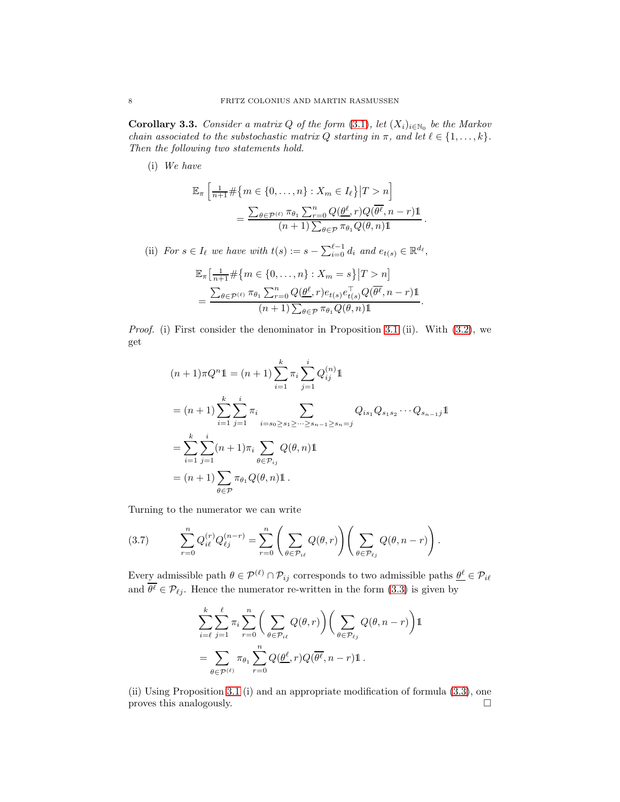<span id="page-7-0"></span>**Corollary 3.3.** *Consider a matrix* Q of the form  $(3.1)$ , let  $(X_i)_{i\in\mathbb{N}_0}$  be the Markov *chain associated to the substochastic matrix*  $Q$  *starting in*  $\pi$ *, and let*  $\ell \in \{1, \ldots, k\}$ *. Then the following two statements hold.*

(i) *We have*

$$
\mathbb{E}_{\pi} \left[ \frac{1}{n+1} \# \{ m \in \{ 0, \dots, n \} : X_m \in I_{\ell} \} | T > n \right]
$$

$$
= \frac{\sum_{\theta \in \mathcal{P}^{(\ell)}} \pi_{\theta_1} \sum_{r=0}^n Q(\underline{\theta}^{\ell}, r) Q(\overline{\theta}^{\ell}, n-r) \mathbb{1}}{(n+1) \sum_{\theta \in \mathcal{P}} \pi_{\theta_1} Q(\theta, n) \mathbb{1}}
$$

.

(ii) *For*  $s \in I_\ell$  *we have with*  $t(s) := s - \sum_{i=0}^{\ell-1} d_i$  *and*  $e_{t(s)} \in \mathbb{R}^{d_\ell}$ ,

$$
\mathbb{E}_{\pi} \left[ \frac{1}{n+1} \# \{ m \in \{ 0, \ldots, n \} : X_m = s \} | T > n \right]
$$
  
= 
$$
\frac{\sum_{\theta \in \mathcal{P}^{(\ell)}} \pi_{\theta_1} \sum_{r=0}^n Q(\underline{\theta}^{\ell}, r) e_{t(s)} e_{t(s)}^{\top} Q(\overline{\theta}^{\ell}, n-r) \mathbb{1}}{(n+1) \sum_{\theta \in \mathcal{P}} \pi_{\theta_1} Q(\theta, n) \mathbb{1}}.
$$

*Proof.* (i) First consider the denominator in Proposition [3.1](#page-4-1) (ii). With [\(3.2\)](#page-5-0), we get

$$
(n+1)\pi Q^{n}\mathbb{1} = (n+1)\sum_{i=1}^{k} \pi_{i} \sum_{j=1}^{i} Q_{ij}^{(n)} \mathbb{1}
$$
  
\n
$$
= (n+1)\sum_{i=1}^{k} \sum_{j=1}^{i} \pi_{i} \sum_{i=s_{0}\geq s_{1}\geq \cdots \geq s_{n-1}\geq s_{n}=j} Q_{is_{1}} Q_{s_{1}s_{2}} \cdots Q_{s_{n-1}j}\mathbb{1}
$$
  
\n
$$
= \sum_{i=1}^{k} \sum_{j=1}^{i} (n+1)\pi_{i} \sum_{\theta \in \mathcal{P}_{ij}} Q(\theta, n)\mathbb{1}
$$
  
\n
$$
= (n+1)\sum_{\theta \in \mathcal{P}} \pi_{\theta_{1}} Q(\theta, n)\mathbb{1}.
$$

Turning to the numerator we can write

$$
(3.7) \qquad \sum_{r=0}^{n} Q_{i\ell}^{(r)} Q_{\ell j}^{(n-r)} = \sum_{r=0}^{n} \left( \sum_{\theta \in \mathcal{P}_{i\ell}} Q(\theta, r) \right) \left( \sum_{\theta \in \mathcal{P}_{\ell j}} Q(\theta, n-r) \right).
$$

Every admissible path  $\theta \in \mathcal{P}^{(\ell)} \cap \mathcal{P}_{ij}$  corresponds to two admissible paths  $\underline{\theta}^{\ell} \in \mathcal{P}_{i\ell}$ and  $\theta^{\ell} \in \mathcal{P}_{\ell j}$ . Hence the numerator re-written in the form [\(3.3\)](#page-6-0) is given by

$$
\sum_{i=\ell}^k \sum_{j=1}^\ell \pi_i \sum_{r=0}^n \left( \sum_{\theta \in \mathcal{P}_{i\ell}} Q(\theta, r) \right) \left( \sum_{\theta \in \mathcal{P}_{\ell j}} Q(\theta, n-r) \right) \mathbb{1}
$$
  
= 
$$
\sum_{\theta \in \mathcal{P}^{(\ell)}} \pi_{\theta_1} \sum_{r=0}^n Q(\underline{\theta^{\ell}}, r) Q(\overline{\theta^{\ell}}, n-r) \mathbb{1}.
$$

(ii) Using Proposition [3.1](#page-4-1) (i) and an appropriate modification of formula [\(3.3\)](#page-6-0), one proves this analogously.  $\Box$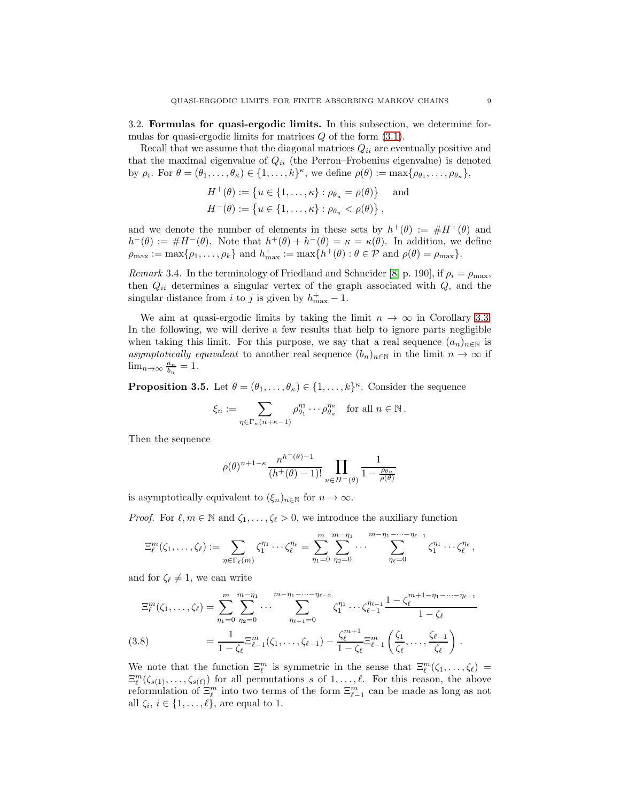<span id="page-8-0"></span>3.2. Formulas for quasi-ergodic limits. In this subsection, we determine formulas for quasi-ergodic limits for matrices  $Q$  of the form  $(3.1)$ .

Recall that we assume that the diagonal matrices  $Q_{ii}$  are eventually positive and that the maximal eigenvalue of  $Q_{ii}$  (the Perron–Frobenius eigenvalue) is denoted by  $\rho_i$ . For  $\theta = (\theta_1, \ldots, \theta_\kappa) \in \{1, \ldots, k\}^\kappa$ , we define  $\rho(\theta) := \max\{\rho_{\theta_1}, \ldots, \rho_{\theta_\kappa}\}\$ ,

$$
H^{+}(\theta) := \{ u \in \{1, ..., \kappa\} : \rho_{\theta_u} = \rho(\theta) \} \text{ and}
$$
  

$$
H^{-}(\theta) := \{ u \in \{1, ..., \kappa\} : \rho_{\theta_u} < \rho(\theta) \},
$$

and we denote the number of elements in these sets by  $h^+(\theta) := \#H^+(\theta)$  and  $h^-(\theta) := \#H^-(\theta)$ . Note that  $h^+(\theta) + h^-(\theta) = \kappa = \kappa(\theta)$ . In addition, we define  $\rho_{\text{max}} := \max\{\rho_1, \ldots, \rho_k\}$  and  $h_{\text{max}}^+ := \max\{h^+(\theta) : \theta \in \mathcal{P}$  and  $\rho(\theta) = \rho_{\text{max}}\}.$ 

*Remark* 3.4. In the terminology of Friedland and Schneider [\[8,](#page-28-6) p. 190], if  $\rho_i = \rho_{\text{max}}$ , then  $Q_{ii}$  determines a singular vertex of the graph associated with  $Q$ , and the singular distance from *i* to *j* is given by  $h_{\text{max}}^+ - 1$ .

We aim at quasi-ergodic limits by taking the limit  $n \to \infty$  in Corollary [3.3.](#page-7-0) In the following, we will derive a few results that help to ignore parts negligible when taking this limit. For this purpose, we say that a real sequence  $(a_n)_{n\in\mathbb{N}}$  is *asymptotically equivalent* to another real sequence  $(b_n)_{n\in\mathbb{N}}$  in the limit  $n \to \infty$  if  $\lim_{n\to\infty}\frac{a_n}{b_n}=1.$ 

<span id="page-8-2"></span>**Proposition 3.5.** Let  $\theta = (\theta_1, \dots, \theta_K) \in \{1, \dots, k\}^{\kappa}$ . Consider the sequence

$$
\xi_n := \sum_{\eta \in \Gamma_{\kappa}(n+\kappa-1)} \rho_{\theta_1}^{\eta_1} \cdots \rho_{\theta_{\kappa}}^{\eta_{\kappa}} \quad \text{for all } n \in \mathbb{N}.
$$

Then the sequence

$$
\rho(\theta)^{n+1-\kappa}\frac{n^{h^+(\theta)-1}}{(h^+(\theta)-1)!}\prod_{u\in H^-(\theta)}\frac{1}{1-\frac{\rho_{\theta_u}}{\rho(\theta)}}
$$

is asymptotically equivalent to  $(\xi_n)_{n\in\mathbb{N}}$  for  $n\to\infty$ .

*Proof.* For  $\ell, m \in \mathbb{N}$  and  $\zeta_1, \ldots, \zeta_\ell > 0$ , we introduce the auxiliary function

$$
\Xi_{\ell}^{m}(\zeta_1,\ldots,\zeta_{\ell}) := \sum_{\eta \in \Gamma_{\ell}(m)} \zeta_1^{\eta_1} \cdots \zeta_{\ell}^{\eta_{\ell}} = \sum_{\eta_1=0}^{m} \sum_{\eta_2=0}^{m-\eta_1} \cdots \sum_{\eta_{\ell}=0}^{m-\eta_1-\cdots-\eta_{\ell-1}} \zeta_1^{\eta_1} \cdots \zeta_{\ell}^{\eta_{\ell}},
$$

and for  $\zeta_{\ell} \neq 1$ , we can write

$$
\Xi_{\ell}^{m}(\zeta_{1},\ldots,\zeta_{\ell}) = \sum_{\eta_{1}=0}^{m} \sum_{\eta_{2}=0}^{m-\eta_{1}} \cdots \sum_{\eta_{\ell-1}=0}^{m-\eta_{1}-\cdots-\eta_{\ell-2}} \zeta_{1}^{\eta_{1}} \cdots \zeta_{\ell-1}^{\eta_{\ell-1}} \frac{1-\zeta_{\ell}^{m+1-\eta_{1}-\cdots-\eta_{\ell-1}}}{1-\zeta_{\ell}}
$$
\n(3.8)\n
$$
= \frac{1}{1-\zeta_{\ell}} \Xi_{\ell-1}^{m}(\zeta_{1},\ldots,\zeta_{\ell-1}) - \frac{\zeta_{\ell}^{m+1}}{1-\zeta_{\ell}} \Xi_{\ell-1}^{m}(\frac{\zeta_{1}}{\zeta_{\ell}},\ldots,\frac{\zeta_{\ell-1}}{\zeta_{\ell}}).
$$

<span id="page-8-1"></span>We note that the function  $\Xi_{\ell}^{m}$  is symmetric in the sense that  $\Xi_{\ell}^{m}(\zeta_{1},\ldots,\zeta_{\ell})=$  $\Xi^m_\ell(\zeta_{s(1)},\ldots,\zeta_{s(\ell)})$  for all permutations s of  $1,\ldots,\ell$ . For this reason, the above reformulation of  $\Xi^m_\ell$  into two terms of the form  $\Xi^m_{\ell-1}$  can be made as long as not all  $\zeta_i, i \in \{1, \ldots, \ell\}$ , are equal to 1.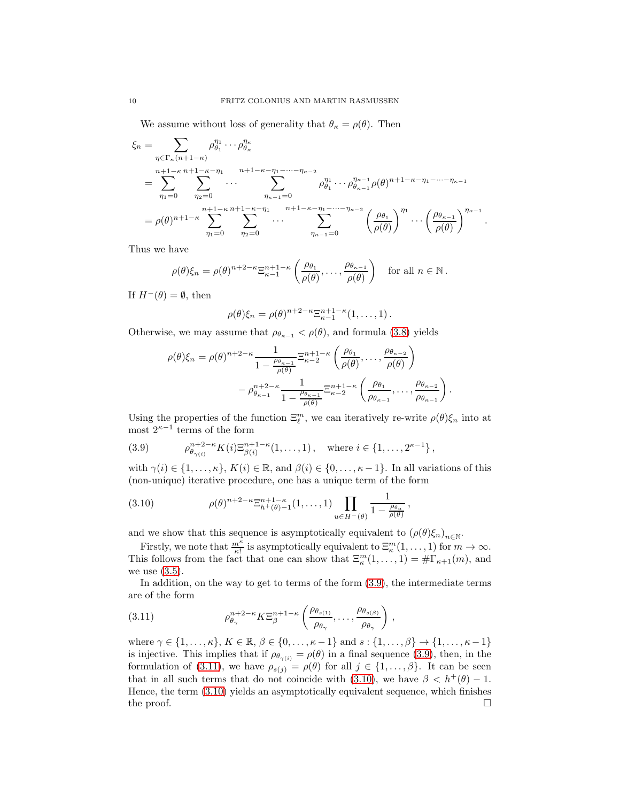We assume without loss of generality that  $\theta_{\kappa} = \rho(\theta)$ . Then

$$
\xi_n = \sum_{\eta \in \Gamma_{\kappa}(n+1-\kappa)} \rho_{\theta_1}^{\eta_1} \cdots \rho_{\theta_{\kappa}}^{\eta_{\kappa}}
$$
\n
$$
= \sum_{\eta_1=0}^{n+1-\kappa} \sum_{\eta_2=0}^{n+1-\kappa-1} \cdots \sum_{\eta_{\kappa-1}=0}^{n+1-\kappa-1} \rho_{\theta_1}^{\eta_1} \cdots \rho_{\theta_{\kappa-1}}^{\eta_{\kappa-1}} \rho(\theta)^{n+1-\kappa-\eta_1-\cdots-\eta_{\kappa-1}}
$$
\n
$$
= \rho(\theta)^{n+1-\kappa} \sum_{\eta_1=0}^{n+1-\kappa} \sum_{\eta_2=0}^{n+1-\kappa-1} \cdots \sum_{\eta_2=0}^{n+1-\kappa-\eta_1-\cdots-\eta_{\kappa-2}} \left(\frac{\rho_{\theta_1}}{\rho(\theta)}\right)^{\eta_1} \cdots \left(\frac{\rho_{\theta_{\kappa-1}}}{\rho(\theta)}\right)^{\eta_{\kappa-1}}
$$

.

.

Thus we have

$$
\rho(\theta)\xi_n = \rho(\theta)^{n+2-\kappa} \Xi_{\kappa-1}^{n+1-\kappa} \left(\frac{\rho_{\theta_1}}{\rho(\theta)}, \ldots, \frac{\rho_{\theta_{\kappa-1}}}{\rho(\theta)}\right) \quad \text{for all } n \in \mathbb{N}.
$$

If  $H^-(\theta) = \emptyset$ , then

$$
\rho(\theta)\xi_n=\rho(\theta)^{n+2-\kappa}\Xi_{\kappa-1}^{n+1-\kappa}(1,\ldots,1).
$$

Otherwise, we may assume that  $\rho_{\theta_{\kappa-1}} < \rho(\theta)$ , and formula [\(3.8\)](#page-8-1) yields

$$
\rho(\theta)\xi_n = \rho(\theta)^{n+2-\kappa} \frac{1}{1 - \frac{\rho_{\theta_{\kappa-1}}}{\rho(\theta)}} \Xi_{\kappa-2}^{n+1-\kappa} \left(\frac{\rho_{\theta_1}}{\rho(\theta)}, \dots, \frac{\rho_{\theta_{\kappa-2}}}{\rho(\theta)}\right)
$$

$$
- \rho_{\theta_{\kappa-1}}^{n+2-\kappa} \frac{1}{1 - \frac{\rho_{\theta_{\kappa-1}}}{\rho(\theta)}} \Xi_{\kappa-2}^{n+1-\kappa} \left(\frac{\rho_{\theta_1}}{\rho_{\theta_{\kappa-1}}}, \dots, \frac{\rho_{\theta_{\kappa-2}}}{\rho_{\theta_{\kappa-1}}}\right)
$$

Using the properties of the function  $\Xi_{\ell}^{m}$ , we can iteratively re-write  $\rho(\theta)\xi_{n}$  into at most  $2^{\kappa-1}$  terms of the form

<span id="page-9-0"></span>(3.9) 
$$
\rho_{\theta_{\gamma(i)}}^{n+2-\kappa} K(i) \Xi_{\beta(i)}^{n+1-\kappa}(1,\ldots,1), \text{ where } i \in \{1,\ldots,2^{\kappa-1}\},
$$

with  $\gamma(i) \in \{1, \ldots, \kappa\}, K(i) \in \mathbb{R}$ , and  $\beta(i) \in \{0, \ldots, \kappa-1\}.$  In all variations of this (non-unique) iterative procedure, one has a unique term of the form

<span id="page-9-2"></span>(3.10) 
$$
\rho(\theta)^{n+2-\kappa} \Xi_{h^+(\theta)-1}^{n+1-\kappa}(1,\ldots,1) \prod_{u \in H^-(\theta)} \frac{1}{1 - \frac{\rho_{\theta_u}}{\rho(\theta)}},
$$

and we show that this sequence is asymptotically equivalent to  $(\rho(\theta)\xi_n)_{n\in\mathbb{N}}$ .

Firstly, we note that  $\frac{m^k}{\kappa!}$  is asymptotically equivalent to  $\Xi^m_{\kappa}(1,\ldots,1)$  for  $m\to\infty$ . This follows from the fact that one can show that  $\Xi_{\kappa}^{m}(1,\ldots,1) = \#\Gamma_{\kappa+1}(m)$ , and we use  $(3.5)$ .

In addition, on the way to get to terms of the form [\(3.9\)](#page-9-0), the intermediate terms are of the form

<span id="page-9-1"></span>(3.11) 
$$
\rho_{\theta_{\gamma}}^{n+2-\kappa} K \Xi_{\beta}^{n+1-\kappa} \left( \frac{\rho_{\theta_{s(1)}}}{\rho_{\theta_{\gamma}}}, \ldots, \frac{\rho_{\theta_{s(\beta)}}}{\rho_{\theta_{\gamma}}} \right),
$$

where  $\gamma \in \{1, \ldots, \kappa\}, K \in \mathbb{R}, \beta \in \{0, \ldots, \kappa-1\}$  and  $s : \{1, \ldots, \beta\} \to \{1, \ldots, \kappa-1\}$ is injective. This implies that if  $\rho_{\theta_{\gamma(i)}} = \rho(\theta)$  in a final sequence [\(3.9\)](#page-9-0), then, in the formulation of [\(3.11\)](#page-9-1), we have  $\rho_{s(j)} = \rho(\theta)$  for all  $j \in \{1, ..., \beta\}$ . It can be seen that in all such terms that do not coincide with [\(3.10\)](#page-9-2), we have  $\beta < h^+(\theta) - 1$ . Hence, the term [\(3.10\)](#page-9-2) yields an asymptotically equivalent sequence, which finishes the proof.  $\Box$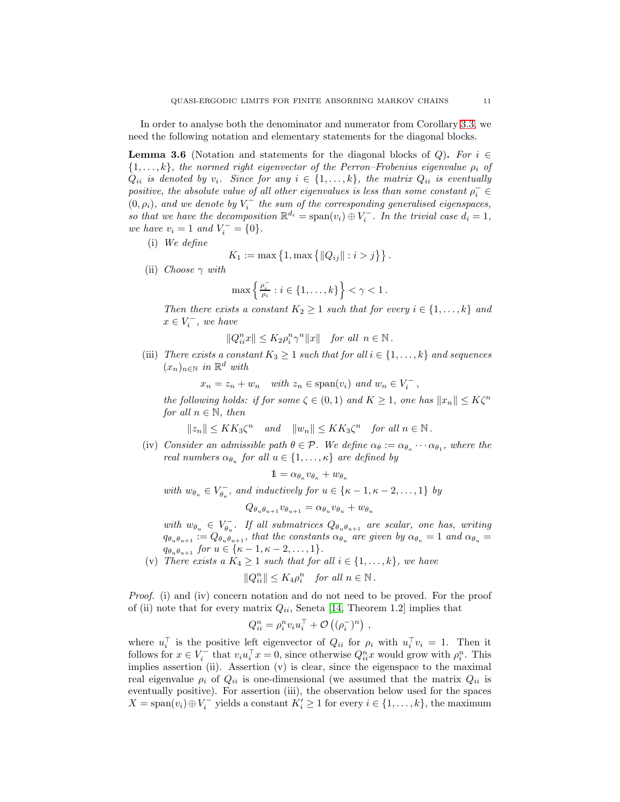In order to analyse both the denominator and numerator from Corollary [3.3,](#page-7-0) we need the following notation and elementary statements for the diagonal blocks.

<span id="page-10-0"></span>**Lemma 3.6** (Notation and statements for the diagonal blocks of  $Q$ ). For  $i \in$  $\{1, \ldots, k\}$ *, the normed right eigenvector of the Perron–Frobenius eigenvalue*  $\rho_i$  *of*  $Q_{ii}$  *is denoted by*  $v_i$ *. Since for any*  $i \in \{1, \ldots, k\}$ *, the matrix*  $Q_{ii}$  *is eventually*  $positive, the \ absolute \ value \ of \ all \ other \ eigenvalues \ is \ less \ than \ some \ constant \ \rho_i^- \in$  $(0, \rho_i)$ , and we denote by  $V_i^-$  the sum of the corresponding generalised eigenspaces, so that we have the decomposition  $\mathbb{R}^{d_i} = \text{span}(v_i) \oplus V_i^-$ . In the trivial case  $d_i = 1$ , *we have*  $v_i = 1$  *and*  $V_i^- = \{0\}.$ 

(i) *We define*

$$
K_1 := \max\{1, \max\{\|Q_{ij}\| : i > j\}\}.
$$

(ii) *Choose* γ *with*

$$
\max\left\{\tfrac{\rho_i^-}{\rho_i}:i\in\{1,\ldots,k\}\right\}<\gamma<1\,.
$$

*Then there exists a constant*  $K_2 \geq 1$  *such that for every*  $i \in \{1, \ldots, k\}$  *and*  $x \in V_i^-$ , we have

$$
||Q_{ii}^nx|| \leq K_2\rho_i^n\gamma^n||x|| \quad \text{for all} \ \ n\in\mathbb{N} \, .
$$

(iii) *There exists a constant*  $K_3 \geq 1$  *such that for all*  $i \in \{1, ..., k\}$  *and sequences* (xn)<sup>n</sup>∈<sup>N</sup> *in* R <sup>d</sup> *with*

 $x_n = z_n + w_n$  *with*  $z_n \in \text{span}(v_i)$  *and*  $w_n \in V_i^-$ ,

*the following holds: if for some*  $\zeta \in (0,1)$  *and*  $K \geq 1$ *, one has*  $||x_n|| \leq K\zeta^n$ *for all*  $n \in \mathbb{N}$ *, then* 

$$
||z_n|| \leq KK_3\zeta^n
$$
 and  $||w_n|| \leq KK_3\zeta^n$  for all  $n \in \mathbb{N}$ .

(iv) *Consider an admissible path*  $\theta \in \mathcal{P}$ *. We define*  $\alpha_{\theta} := \alpha_{\theta_{\kappa}} \cdots \alpha_{\theta_1}$ *, where the real numbers*  $\alpha_{\theta_u}$  *for all*  $u \in \{1, \ldots, \kappa\}$  *are defined by* 

$$
1 = \alpha_{\theta_{\kappa}} v_{\theta_{\kappa}} + w_{\theta_{\kappa}}
$$

with  $w_{\theta_{\kappa}} \in V_{\theta_{\kappa}}^-$ , and inductively for  $u \in {\kappa - 1, \kappa - 2, ..., 1}$  by

$$
Q_{\theta_u\theta_{u+1}}v_{\theta_{u+1}} = \alpha_{\theta_u}v_{\theta_u} + w_{\theta_u}
$$

 $with w_{\theta_u} \in V_{\theta_u}^{-}$ . If all submatrices  $Q_{\theta_u \theta_{u+1}}$  are scalar, one has, writing  $q_{\theta_u \theta_{u+1}} := Q_{\theta_u \theta_{u+1}}$ *, that the constants*  $\alpha_{\theta_u}$  are given by  $\alpha_{\theta_{\kappa}} = 1$  and  $\alpha_{\theta_u} =$  $q_{\theta_u \theta_{u+1}}$  *for*  $u \in {\{\kappa - 1, \kappa - 2, ..., 1\}}$ *.* 

(v) *There exists a*  $K_4 \geq 1$  *such that for all*  $i \in \{1, ..., k\}$ *, we have* 

 $||Q_{ii}^n|| \leq K_4 \rho_i^n$  *for all*  $n \in \mathbb{N}$ .

*Proof.* (i) and (iv) concern notation and do not need to be proved. For the proof of (ii) note that for every matrix  $Q_{ii}$ , Seneta [\[14,](#page-29-5) Theorem 1.2] implies that

$$
Q_{ii}^n = \rho_i^n v_i u_i^{\top} + \mathcal{O}\left((\rho_i^{-})^n\right) ,
$$

where  $u_i^{\top}$  is the positive left eigenvector of  $Q_{ii}$  for  $\rho_i$  with  $u_i^{\top}v_i = 1$ . Then it follows for  $x \in V_i^-$  that  $v_i u_i^{\top} x = 0$ , since otherwise  $Q_{ii}^n x$  would grow with  $\rho_i^n$ . This implies assertion (ii). Assertion (v) is clear, since the eigenspace to the maximal real eigenvalue  $\rho_i$  of  $Q_{ii}$  is one-dimensional (we assumed that the matrix  $Q_{ii}$  is eventually positive). For assertion (iii), the observation below used for the spaces  $X = \text{span}(v_i) \oplus V_i^-$  yields a constant  $K'_i \ge 1$  for every  $i \in \{1, ..., k\}$ , the maximum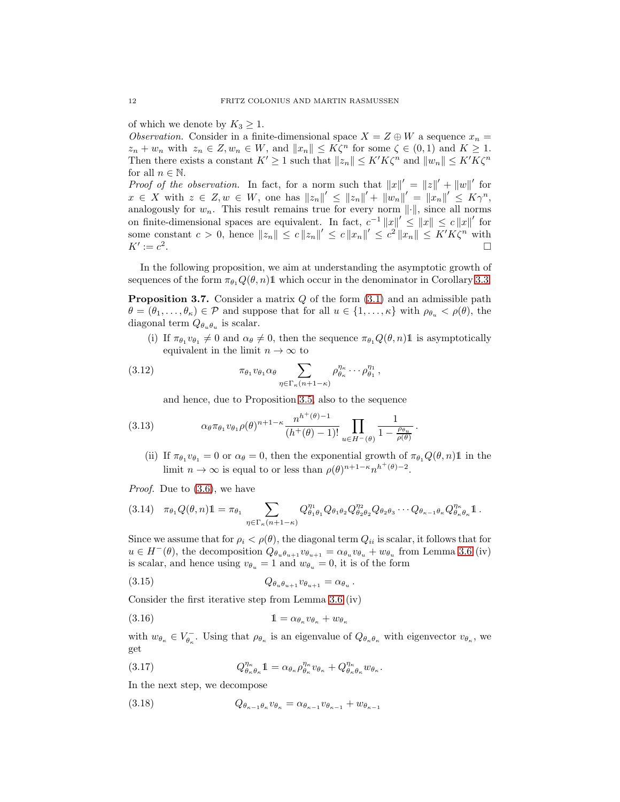of which we denote by  $K_3 \geq 1$ .

*Observation.* Consider in a finite-dimensional space  $X = Z \oplus W$  a sequence  $x_n =$  $z_n + w_n$  with  $z_n \in Z, w_n \in W$ , and  $||x_n|| \leq K\zeta^n$  for some  $\zeta \in (0,1)$  and  $K \geq 1$ . Then there exists a constant  $K' \geq 1$  such that  $||z_n|| \leq K'K\zeta^n$  and  $||w_n|| \leq K'K\zeta^n$ for all  $n \in \mathbb{N}$ .

*Proof of the observation.* In fact, for a norm such that  $||x||' = ||z||' + ||w||'$  for  $x \in X$  with  $z \in Z, w \in W$ , one has  $||z_n||' \leq ||z_n||' + ||w_n||' = ||x_n||' \leq K\gamma^n$ , analogously for  $w_n$ . This result remains true for every norm  $\lVert \cdot \rVert$ , since all norms on finite-dimensional spaces are equivalent. In fact,  $c^{-1} ||x||' \le ||x|| \le c ||x||'$  for some constant  $c > 0$ , hence  $||z_n|| \le c ||z_n||' \le c ||x_n||' \le c^2 ||x_n|| \le K' K \zeta^n$  with  $K' := c^2$ .

In the following proposition, we aim at understanding the asymptotic growth of sequences of the form  $\pi_{\theta_1} Q(\theta, n)$ 1 which occur in the denominator in Corollary [3.3.](#page-7-0)

<span id="page-11-4"></span>**Proposition 3.7.** Consider a matrix  $Q$  of the form  $(3.1)$  and an admissible path  $\theta = (\theta_1, \ldots, \theta_\kappa) \in \mathcal{P}$  and suppose that for all  $u \in \{1, \ldots, \kappa\}$  with  $\rho_{\theta_u} < \rho(\theta)$ , the diagonal term  $Q_{\theta_u \theta_u}$  is scalar.

(i) If  $\pi_{\theta_1} v_{\theta_1} \neq 0$  and  $\alpha_{\theta} \neq 0$ , then the sequence  $\pi_{\theta_1} Q(\theta, n)$ 1 is asymptotically equivalent in the limit  $n \to \infty$  to

(3.12) 
$$
\pi_{\theta_1} v_{\theta_1} \alpha_{\theta} \sum_{\eta \in \Gamma_{\kappa}(n+1-\kappa)} \rho_{\theta_{\kappa}}^{\eta_{\kappa}} \cdots \rho_{\theta_1}^{\eta_1},
$$

<span id="page-11-6"></span>and hence, due to Proposition [3.5,](#page-8-2) also to the sequence

(3.13) 
$$
\alpha_{\theta} \pi_{\theta_1} v_{\theta_1} \rho(\theta)^{n+1-\kappa} \frac{n^{h^+(\theta)-1}}{(h^+(\theta)-1)!} \prod_{u \in H^-(\theta)} \frac{1}{1 - \frac{\rho_{\theta_u}}{\rho(\theta)}}.
$$

(ii) If  $\pi_{\theta_1} v_{\theta_1} = 0$  or  $\alpha_{\theta} = 0$ , then the exponential growth of  $\pi_{\theta_1} Q(\theta, n) \mathbb{1}$  in the limit  $n \to \infty$  is equal to or less than  $\rho(\theta)^{n+1-\kappa} n^{h^+(\theta)-2}$ .

*Proof.* Due to [\(3.6\)](#page-6-2), we have

<span id="page-11-3"></span>
$$
(3.14) \quad \pi_{\theta_1} Q(\theta, n) \mathbb{1} = \pi_{\theta_1} \sum_{\eta \in \Gamma_{\kappa}(n+1-\kappa)} Q_{\theta_1 \theta_1}^{\eta_1} Q_{\theta_1 \theta_2} Q_{\theta_2 \theta_2}^{\eta_2} Q_{\theta_2 \theta_3} \cdots Q_{\theta_{\kappa-1} \theta_{\kappa}} Q_{\theta_{\kappa} \theta_{\kappa}}^{\eta_{\kappa}} \mathbb{1}.
$$

Since we assume that for  $\rho_i < \rho(\theta)$ , the diagonal term  $Q_{ii}$  is scalar, it follows that for  $u \in H^-(\theta)$ , the decomposition  $Q_{\theta_u \theta_{u+1}} v_{\theta_{u+1}} = \alpha_{\theta_u} v_{\theta_u} + w_{\theta_u}$  from Lemma [3.6](#page-10-0) (iv) is scalar, and hence using  $v_{\theta_u} = 1$  and  $w_{\theta_u} = 0$ , it is of the form

<span id="page-11-2"></span>
$$
(3.15) \tQ_{\theta_u \theta_{u+1}} v_{\theta_{u+1}} = \alpha_{\theta_u}.
$$

Consider the first iterative step from Lemma [3.6](#page-10-0) (iv)

$$
(3.16) \t\t\t 1 = \alpha_{\theta_{\kappa}} v_{\theta_{\kappa}} + w_{\theta_{\kappa}}
$$

with  $w_{\theta_{\kappa}} \in V_{\theta_{\kappa}}^-$ . Using that  $\rho_{\theta_{\kappa}}$  is an eigenvalue of  $Q_{\theta_{\kappa}\theta_{\kappa}}$  with eigenvector  $v_{\theta_{\kappa}}$ , we get

<span id="page-11-5"></span>.

<span id="page-11-0"></span>(3.17) 
$$
Q^{\eta_{\kappa}}_{\theta_{\kappa}\theta_{\kappa}}1 = \alpha_{\theta_{\kappa}} \rho^{\eta_{\kappa}}_{\theta_{\kappa}} v_{\theta_{\kappa}} + Q^{\eta_{\kappa}}_{\theta_{\kappa}\theta_{\kappa}} w_{\theta_{\kappa}}
$$

In the next step, we decompose

<span id="page-11-1"></span>
$$
(3.18) \tQ_{\theta_{\kappa-1}\theta_{\kappa}} v_{\theta_{\kappa}} = \alpha_{\theta_{\kappa-1}} v_{\theta_{\kappa-1}} + w_{\theta_{\kappa-1}}
$$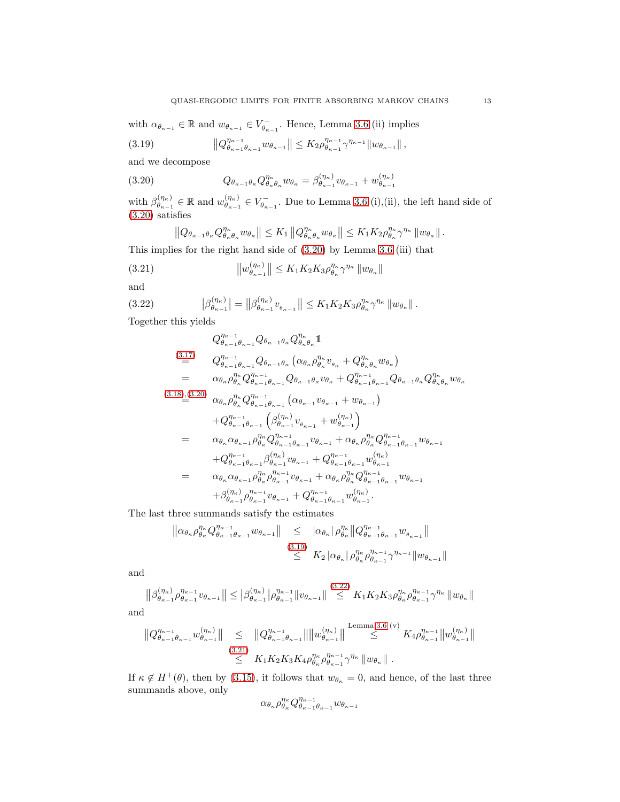with  $\alpha_{\theta_{\kappa-1}} \in \mathbb{R}$  and  $w_{\theta_{\kappa-1}} \in V_{\theta_{\kappa-1}}^-$ . Hence, Lemma [3.6](#page-10-0) (ii) implies

<span id="page-12-1"></span>
$$
(3.19) \t\t ||Q_{\theta_{\kappa-1}\theta_{\kappa-1}}^{\eta_{\kappa-1}} w_{\theta_{\kappa-1}}|| \leq K_2 \rho_{\theta_{\kappa-1}}^{\eta_{\kappa-1}} \gamma^{\eta_{\kappa-1}} ||w_{\theta_{\kappa-1}}||,
$$

and we decompose

(3.20) 
$$
Q_{\theta_{\kappa-1}\theta_{\kappa}} Q_{\theta_{\kappa}\theta_{\kappa}}^{\eta_{\kappa}} w_{\theta_{\kappa}} = \beta_{\theta_{\kappa-1}}^{(\eta_{\kappa})} v_{\theta_{\kappa-1}} + w_{\theta_{\kappa-1}}^{(\eta_{\kappa})}
$$

with  $\beta_{\theta_{n-1}}^{(\eta_{\kappa})}$  $\theta_{\kappa-1}^{(\eta_{\kappa})} \in \mathbb{R}$  and  $w_{\theta_{\kappa-1}}^{(\eta_{\kappa})}$  $\binom{\eta_{\kappa}}{\theta_{\kappa-1}} \in V_{\theta_{\kappa-1}}^-$ . Due to Lemma [3.6](#page-10-0) (i),(ii), the left hand side of [\(3.20\)](#page-12-0) satisfies

<span id="page-12-3"></span><span id="page-12-0"></span>
$$
||Q_{\theta_{\kappa-1}\theta_{\kappa}} Q_{\theta_{\kappa}\theta_{\kappa}}^{\eta_{\kappa}} w_{\theta_{\kappa}}|| \leq K_1 ||Q_{\theta_{\kappa}\theta_{\kappa}}^{\eta_{\kappa}} w_{\theta_{\kappa}}|| \leq K_1 K_2 \rho_{\theta_{\kappa}}^{\eta_{\kappa}} \gamma^{\eta_{\kappa}} ||w_{\theta_{\kappa}}||.
$$

This implies for the right hand side of [\(3.20\)](#page-12-0) by Lemma [3.6](#page-10-0) (iii) that

(3.21) 
$$
\|w_{\theta_{\kappa-1}}^{\left(\eta_{\kappa}\right)}\| \leq K_1 K_2 K_3 \rho_{\theta_{\kappa}}^{\eta_{\kappa}} \gamma^{\eta_{\kappa}} \|w_{\theta_{\kappa}}\|
$$

and

$$
(3.22) \qquad \qquad |\beta_{\theta_{\kappa-1}}^{(\eta_{\kappa})}| = ||\beta_{\theta_{\kappa-1}}^{(\eta_{\kappa})}v_{\theta_{\kappa-1}}|| \leq K_1K_2K_3\rho_{\theta_{\kappa}}^{\eta_{\kappa}}\gamma^{\eta_{\kappa}} ||w_{\theta_{\kappa}}||.
$$

Together this yields

<span id="page-12-2"></span>
$$
Q_{\theta_{\kappa-1}}^{\eta_{\kappa-1}} Q_{\theta_{\kappa-1}} \theta_{\kappa-1} \theta_{\kappa} Q_{\theta_{\kappa}}^{\eta_{\kappa}} \mathbb{1}
$$
\n
$$
\stackrel{(3.17)}{=} Q_{\theta_{\kappa-1}}^{\eta_{\kappa-1}} Q_{\theta_{\kappa-1}} \theta_{\kappa} (\alpha_{\theta_{\kappa}} \rho_{\theta_{\kappa}}^{\eta_{\kappa}} v_{\theta_{\kappa}} + Q_{\theta_{\kappa}}^{\eta_{\kappa}} w_{\theta_{\kappa}})
$$
\n
$$
= \alpha_{\theta_{\kappa}} \rho_{\theta_{\kappa}}^{\eta_{\kappa}} Q_{\theta_{\kappa-1}}^{\eta_{\kappa-1}} \theta_{\kappa-1} Q_{\theta_{\kappa-1}} \theta_{\kappa} v_{\theta_{\kappa}} + Q_{\theta_{\kappa-1}}^{\eta_{\kappa-1}} \theta_{\kappa-1} \theta_{\kappa} Q_{\theta_{\kappa}}^{\eta_{\kappa}} w_{\theta_{\kappa}}
$$
\n
$$
\stackrel{(3.18),(3.20)}{=} \alpha_{\theta_{\kappa}} \rho_{\theta_{\kappa}}^{\eta_{\kappa}} Q_{\theta_{\kappa-1}}^{\eta_{\kappa-1}} \theta_{\kappa-1} (\alpha_{\theta_{\kappa-1}} v_{\theta_{\kappa-1}} + w_{\theta_{\kappa-1}})
$$
\n
$$
+ Q_{\theta_{\kappa-1}}^{\eta_{\kappa-1}} \theta_{\kappa-1} (\beta_{\theta_{\kappa-1}}^{\eta_{\kappa}} v_{\theta_{\kappa-1}} + w_{\theta_{\kappa-1}}^{\eta_{\kappa}})
$$
\n
$$
= \alpha_{\theta_{\kappa}} \alpha_{\theta_{\kappa-1}} \rho_{\theta_{\kappa}}^{\eta_{\kappa}} Q_{\theta_{\kappa-1}}^{\eta_{\kappa-1}} \theta_{\kappa-1} v_{\theta_{\kappa-1}} + \alpha_{\theta_{\kappa}} \rho_{\theta_{\kappa}}^{\eta_{\kappa}} Q_{\theta_{\kappa-1}}^{\eta_{\kappa-1}} w_{\theta_{\kappa-1}}
$$
\n
$$
+ Q_{\theta_{\kappa-1}}^{\eta_{\kappa-1}} \theta_{\kappa_{\kappa-1}}
$$

The last three summands satisfy the estimates

$$
\|\alpha_{\theta_{\kappa}}\rho_{\theta_{\kappa}}^{\eta_{\kappa}}Q_{\theta_{\kappa-1}\theta_{\kappa-1}}^{\eta_{\kappa-1}}w_{\theta_{\kappa-1}}\| \leq |\alpha_{\theta_{\kappa}}|\rho_{\theta_{\kappa}}^{\eta_{\kappa}}\|Q_{\theta_{\kappa-1}\theta_{\kappa-1}}^{\eta_{\kappa-1}}w_{\theta_{\kappa-1}}\|
$$
\n
$$
\leq K_2 |\alpha_{\theta_{\kappa}}|\rho_{\theta_{\kappa}}^{\eta_{\kappa}}\rho_{\theta_{\kappa-1}}^{\eta_{\kappa-1}}\gamma^{\eta_{\kappa-1}}\|w_{\theta_{\kappa-1}}\|
$$

and

$$
\left\|\beta_{\theta_{\kappa-1}}^{(\eta_{\kappa})}\rho_{\theta_{\kappa-1}}^{\eta_{\kappa-1}}v_{\theta_{\kappa-1}}\right\| \leq \left|\beta_{\theta_{\kappa-1}}^{(\eta_{\kappa})}\right|\rho_{\theta_{\kappa-1}}^{\eta_{\kappa-1}}\|v_{\theta_{\kappa-1}}\| \stackrel{(3.22)}{\leq} K_1K_2K_3\rho_{\theta_{\kappa}}^{\eta_{\kappa}}\rho_{\theta_{\kappa-1}}^{\eta_{\kappa-1}}\gamma^{\eta_{\kappa}}\|w_{\theta_{\kappa}}\|
$$

and

$$
||Q_{\theta_{\kappa-1}\theta_{\kappa-1}}^{\eta_{\kappa-1}}w_{\theta_{\kappa-1}}^{(\eta_{\kappa})}|| \leq ||Q_{\theta_{\kappa-1}\theta_{\kappa-1}}^{\eta_{\kappa-1}}|| ||w_{\theta_{\kappa-1}}^{(\eta_{\kappa})}|| \stackrel{\text{Lemma 3.6 (v)}}{\leq} K_4 \rho_{\theta_{\kappa-1}}^{\eta_{\kappa-1}} ||w_{\theta_{\kappa-1}}^{(\eta_{\kappa})}||
$$
  

$$
\stackrel{(3.21)}{\leq} K_1 K_2 K_3 K_4 \rho_{\theta_{\kappa}}^{\eta_{\kappa}} \rho_{\theta_{\kappa-1}}^{\eta_{\kappa-1}} \gamma^{\eta_{\kappa}} ||w_{\theta_{\kappa}}||.
$$

If  $\kappa \notin H^+(\theta)$ , then by [\(3.15\)](#page-11-2), it follows that  $w_{\theta_{\kappa}} = 0$ , and hence, of the last three summands above, only

$$
\alpha_{\theta\kappa} \rho_{\theta\kappa}^{\eta_\kappa} Q_{\theta\kappa-1}^{\eta_{\kappa-1}}_{\theta\kappa-1} w_{\theta\kappa-1}
$$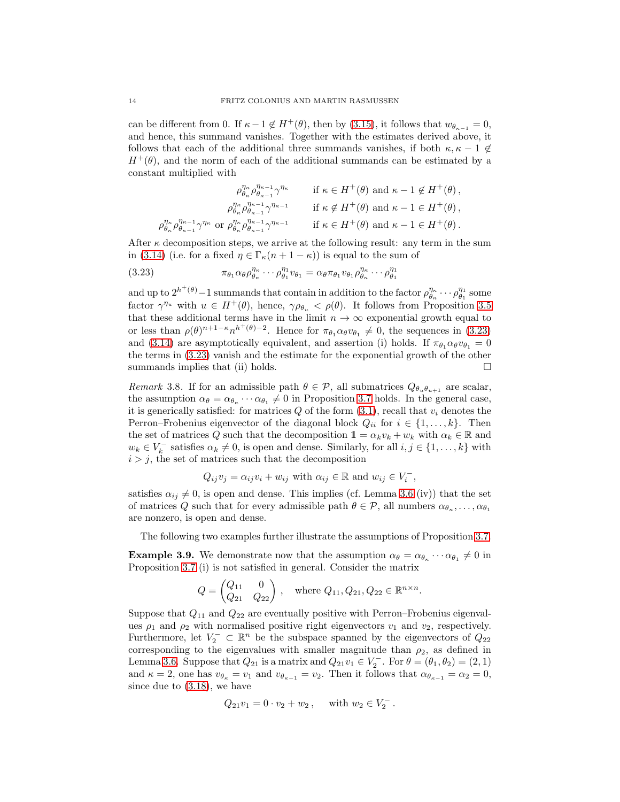can be different from 0. If  $\kappa-1 \notin H^+(\theta)$ , then by [\(3.15\)](#page-11-2), it follows that  $w_{\theta_{\kappa-1}} = 0$ , and hence, this summand vanishes. Together with the estimates derived above, it follows that each of the additional three summands vanishes, if both  $\kappa, \kappa - 1 \notin$  $H^+(\theta)$ , and the norm of each of the additional summands can be estimated by a constant multiplied with

$$
\rho_{\theta_{\kappa}}^{\eta_{\kappa}} \rho_{\theta_{\kappa-1}}^{\eta_{\kappa-1}} \gamma^{\eta_{\kappa}} \n\qquad \text{if } \kappa \in H^+(\theta) \text{ and } \kappa - 1 \notin H^+(\theta) ,
$$
\n
$$
\rho_{\theta_{\kappa}}^{\eta_{\kappa}} \rho_{\theta_{\kappa-1}}^{\eta_{\kappa-1}} \gamma^{\eta_{\kappa-1}} \n\qquad \text{if } \kappa \notin H^+(\theta) \text{ and } \kappa - 1 \in H^+(\theta) ,
$$
\n
$$
\rho_{\theta_{\kappa}}^{\eta_{\kappa}} \rho_{\theta_{\kappa-1}}^{\eta_{\kappa-1}} \gamma^{\eta_{\kappa}} \text{ or } \rho_{\theta_{\kappa}}^{\eta_{\kappa}} \rho_{\theta_{\kappa-1}}^{\eta_{\kappa-1}} \gamma^{\eta_{\kappa-1}} \n\qquad \text{if } \kappa \in H^+(\theta) \text{ and } \kappa - 1 \in H^+(\theta) .
$$

After  $\kappa$  decomposition steps, we arrive at the following result: any term in the sum in [\(3.14\)](#page-11-3) (i.e. for a fixed  $\eta \in \Gamma_{\kappa}(n+1-\kappa)$ ) is equal to the sum of

<span id="page-13-0"></span>(3.23) 
$$
\pi_{\theta_1} \alpha_{\theta} \rho_{\theta_{\kappa}}^{\eta_{\kappa}} \cdots \rho_{\theta_1}^{\eta_1} v_{\theta_1} = \alpha_{\theta} \pi_{\theta_1} v_{\theta_1} \rho_{\theta_{\kappa}}^{\eta_{\kappa}} \cdots \rho_{\theta_1}^{\eta_1}
$$

and up to  $2^{h^+(\theta)}-1$  summands that contain in addition to the factor  $\rho_{\theta_\kappa}^{\eta_\kappa}\cdots\rho_{\theta_1}^{\eta_1}$  some factor  $\gamma^{\eta_u}$  with  $u \in H^+(\theta)$ , hence,  $\gamma \rho_{\theta_u} < \rho(\theta)$ . It follows from Proposition [3.5](#page-8-2) that these additional terms have in the limit  $n \to \infty$  exponential growth equal to or less than  $\rho(\theta)^{n+1-\kappa} n^{h^+(\theta)-2}$ . Hence for  $\pi_{\theta_1} \alpha_{\theta} v_{\theta_1} \neq 0$ , the sequences in [\(3.23\)](#page-13-0) and [\(3.14\)](#page-11-3) are asymptotically equivalent, and assertion (i) holds. If  $\pi_{\theta_1} \alpha_{\theta} v_{\theta_1} = 0$ the terms in [\(3.23\)](#page-13-0) vanish and the estimate for the exponential growth of the other summands implies that (ii) holds.  $\square$ 

<span id="page-13-1"></span>*Remark* 3.8. If for an admissible path  $\theta \in \mathcal{P}$ , all submatrices  $Q_{\theta_{\theta},\theta_{\theta+1}}$  are scalar, the assumption  $\alpha_{\theta} = \alpha_{\theta_{\kappa}} \cdots \alpha_{\theta_1} \neq 0$  in Proposition [3.7](#page-11-4) holds. In the general case, it is generically satisfied: for matrices  $Q$  of the form  $(3.1)$ , recall that  $v_i$  denotes the Perron–Frobenius eigenvector of the diagonal block  $Q_{ii}$  for  $i \in \{1, \ldots, k\}$ . Then the set of matrices Q such that the decomposition  $1 = \alpha_k v_k + w_k$  with  $\alpha_k \in \mathbb{R}$  and  $w_k \in V_k^-$  satisfies  $\alpha_k \neq 0$ , is open and dense. Similarly, for all  $i, j \in \{1, ..., k\}$  with  $i > j$ , the set of matrices such that the decomposition

$$
Q_{ij}v_j = \alpha_{ij}v_i + w_{ij} \text{ with } \alpha_{ij} \in \mathbb{R} \text{ and } w_{ij} \in V_i^-,
$$

satisfies  $\alpha_{ij} \neq 0$ , is open and dense. This implies (cf. Lemma [3.6](#page-10-0) (iv)) that the set of matrices Q such that for every admissible path  $\theta \in \mathcal{P}$ , all numbers  $\alpha_{\theta_{\kappa}}, \dots, \alpha_{\theta_1}$ are nonzero, is open and dense.

The following two examples further illustrate the assumptions of Proposition [3.7.](#page-11-4)

**Example 3.9.** We demonstrate now that the assumption  $\alpha_{\theta} = \alpha_{\theta_{\kappa}} \cdots \alpha_{\theta_1} \neq 0$  in Proposition [3.7](#page-11-4) (i) is not satisfied in general. Consider the matrix

$$
Q = \begin{pmatrix} Q_{11} & 0 \\ Q_{21} & Q_{22} \end{pmatrix}, \text{ where } Q_{11}, Q_{21}, Q_{22} \in \mathbb{R}^{n \times n}.
$$

Suppose that  $Q_{11}$  and  $Q_{22}$  are eventually positive with Perron–Frobenius eigenvalues  $\rho_1$  and  $\rho_2$  with normalised positive right eigenvectors  $v_1$  and  $v_2$ , respectively. Furthermore, let  $V_2^- \subset \mathbb{R}^n$  be the subspace spanned by the eigenvectors of  $Q_{22}$ corresponding to the eigenvalues with smaller magnitude than  $\rho_2$ , as defined in Lemma [3.6.](#page-10-0) Suppose that  $Q_{21}$  is a matrix and  $Q_{21}v_1 \in V_2^-$ . For  $\theta = (\theta_1, \theta_2) = (2, 1)$ and  $\kappa = 2$ , one has  $v_{\theta_{\kappa}} = v_1$  and  $v_{\theta_{\kappa-1}} = v_2$ . Then it follows that  $\alpha_{\theta_{\kappa-1}} = \alpha_2 = 0$ , since due to [\(3.18\)](#page-11-1), we have

$$
Q_{21}v_1 = 0 \cdot v_2 + w_2 \,, \quad \text{ with } w_2 \in V_2^- \,.
$$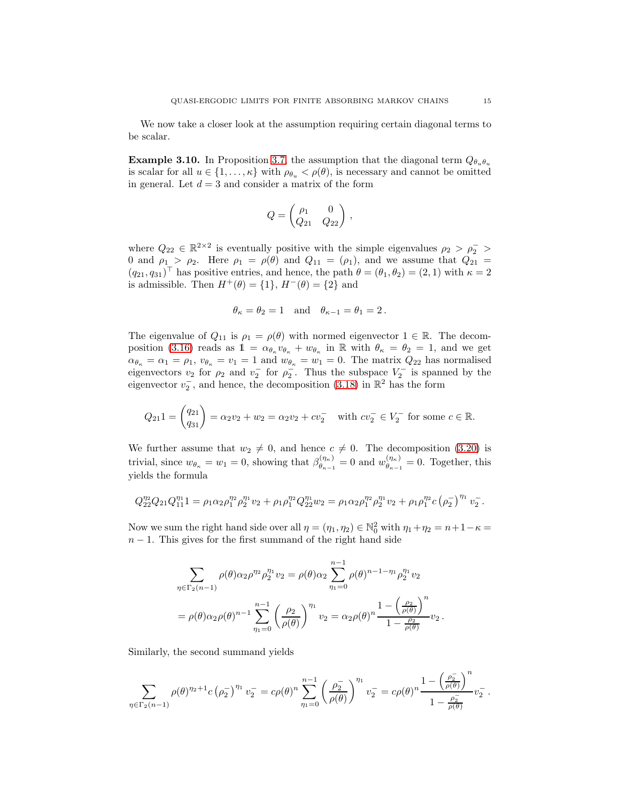We now take a closer look at the assumption requiring certain diagonal terms to be scalar.

**Example 3.10.** In Proposition [3.7,](#page-11-4) the assumption that the diagonal term  $Q_{\theta_u \theta_u}$ is scalar for all  $u \in \{1, \ldots, \kappa\}$  with  $\rho_{\theta_u} < \rho(\theta)$ , is necessary and cannot be omitted in general. Let  $d = 3$  and consider a matrix of the form

$$
Q = \begin{pmatrix} \rho_1 & 0 \\ Q_{21} & Q_{22} \end{pmatrix},
$$

where  $Q_{22} \in \mathbb{R}^{2 \times 2}$  is eventually positive with the simple eigenvalues  $\rho_2 > \rho_2^-$ 0 and  $\rho_1 > \rho_2$ . Here  $\rho_1 = \rho(\theta)$  and  $Q_{11} = (\rho_1)$ , and we assume that  $Q_{21} =$  $(q_{21}, q_{31})^{\top}$  has positive entries, and hence, the path  $\theta = (\theta_1, \theta_2) = (2, 1)$  with  $\kappa = 2$ is admissible. Then  $H^+(\theta) = \{1\}$ ,  $H^-(\theta) = \{2\}$  and

$$
\theta_{\kappa} = \theta_2 = 1
$$
 and  $\theta_{\kappa-1} = \theta_1 = 2$ .

The eigenvalue of  $Q_{11}$  is  $\rho_1 = \rho(\theta)$  with normed eigenvector  $1 \in \mathbb{R}$ . The decom-position [\(3.16\)](#page-11-5) reads as  $1 = \alpha_{\theta_{\kappa}} v_{\theta_{\kappa}} + w_{\theta_{\kappa}}$  in R with  $\theta_{\kappa} = \theta_2 = 1$ , and we get  $\alpha_{\theta_{\kappa}} = \alpha_1 = \rho_1, v_{\theta_{\kappa}} = v_1 = 1$  and  $w_{\theta_{\kappa}} = w_1 = 0$ . The matrix  $Q_{22}$  has normalised eigenvectors  $v_2$  for  $\rho_2$  and  $v_2^-$  for  $\rho_2^-$ . Thus the subspace  $V_2^-$  is spanned by the eigenvector  $v_2^-$ , and hence, the decomposition [\(3.18\)](#page-11-1) in  $\mathbb{R}^2$  has the form

$$
Q_{21}1 = \begin{pmatrix} q_{21} \\ q_{31} \end{pmatrix} = \alpha_2 v_2 + w_2 = \alpha_2 v_2 + c v_2^- \text{ with } cv_2^- \in V_2^- \text{ for some } c \in \mathbb{R}.
$$

We further assume that  $w_2 \neq 0$ , and hence  $c \neq 0$ . The decomposition [\(3.20\)](#page-12-0) is trivial, since  $w_{\theta_{\kappa}} = w_1 = 0$ , showing that  $\beta_{\theta_{\kappa-1}}^{(\eta_{\kappa})}$  $\begin{bmatrix} (\eta_{\kappa}) \\ \theta_{\kappa-1} \end{bmatrix} = 0$  and  $w_{\theta_{\kappa-1}}^{(\eta_{\kappa})}$  $\theta_{\kappa-1}^{(\eta_{\kappa})}=0$ . Together, this yields the formula

$$
Q_{22}^{\eta_2} Q_{21} Q_{11}^{\eta_1} 1 = \rho_1 \alpha_2 \rho_1^{\eta_2} \rho_2^{\eta_1} v_2 + \rho_1 \rho_1^{\eta_2} Q_{22}^{\eta_1} w_2 = \rho_1 \alpha_2 \rho_1^{\eta_2} \rho_2^{\eta_1} v_2 + \rho_1 \rho_1^{\eta_2} c (\rho_2^{-})^{\eta_1} v_2^{-}.
$$

Now we sum the right hand side over all  $\eta = (\eta_1, \eta_2) \in \mathbb{N}_0^2$  with  $\eta_1 + \eta_2 = n + 1 - \kappa =$  $n-1$ . This gives for the first summand of the right hand side

$$
\sum_{\eta \in \Gamma_2(n-1)} \rho(\theta) \alpha_2 \rho^{\eta_2} \rho_2^{\eta_1} v_2 = \rho(\theta) \alpha_2 \sum_{\eta_1=0}^{n-1} \rho(\theta)^{n-1-\eta_1} \rho_2^{\eta_1} v_2
$$
  
= 
$$
\rho(\theta) \alpha_2 \rho(\theta)^{n-1} \sum_{\eta_1=0}^{n-1} \left(\frac{\rho_2}{\rho(\theta)}\right)^{\eta_1} v_2 = \alpha_2 \rho(\theta)^{n} \frac{1 - \left(\frac{\rho_2}{\rho(\theta)}\right)^n}{1 - \frac{\rho_2}{\rho(\theta)}} v_2.
$$

Similarly, the second summand yields

$$
\sum_{\eta \in \Gamma_2(n-1)} \rho(\theta)^{\eta_2+1} c\left(\rho_2^-\right)^{\eta_1} v_2^- = c \rho(\theta)^n \sum_{\eta_1=0}^{n-1} \left(\frac{\rho_2^-}{\rho(\theta)}\right)^{\eta_1} v_2^- = c \rho(\theta)^n \frac{1-\left(\frac{\rho_2^-}{\rho(\theta)}\right)^n}{1-\frac{\rho_2^-}{\rho(\theta)}} v_2^-.
$$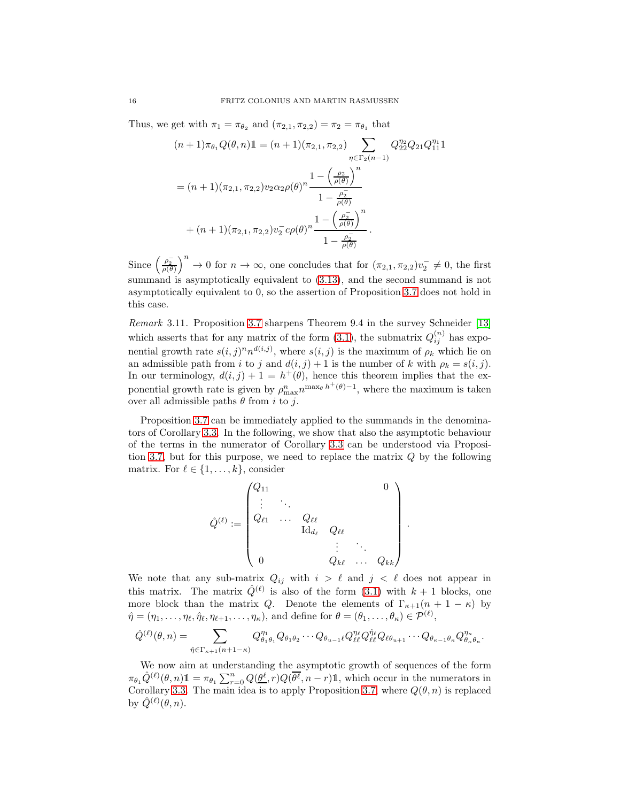Thus, we get with  $\pi_1 = \pi_{\theta_2}$  and  $(\pi_{2,1}, \pi_{2,2}) = \pi_2 = \pi_{\theta_1}$  that

$$
(n+1)\pi_{\theta_1}Q(\theta, n)\mathbb{1} = (n+1)(\pi_{2,1}, \pi_{2,2})\sum_{\eta \in \Gamma_2(n-1)} Q_{22}^{\eta_2}Q_{21}Q_{11}^{\eta_1}\mathbb{1}
$$

$$
= (n+1)(\pi_{2,1}, \pi_{2,2})\nu_2\alpha_2\rho(\theta)^n \frac{1 - \left(\frac{\rho_2}{\rho(\theta)}\right)^n}{1 - \frac{\rho_2}{\rho(\theta)}}
$$

$$
+ (n+1)(\pi_{2,1}, \pi_{2,2})\nu_2^{-}c\rho(\theta)^n \frac{1 - \left(\frac{\rho_2}{\rho(\theta)}\right)^n}{1 - \frac{\rho_2^{-}}{\rho(\theta)}}.
$$

Since  $\left(\frac{\rho_2}{\rho(\theta)}\right)^n \to 0$  for  $n \to \infty$ , one concludes that for  $(\pi_{2,1}, \pi_{2,2})v_2^- \neq 0$ , the first summand is asymptotically equivalent to [\(3.13\)](#page-11-6), and the second summand is not asymptotically equivalent to 0, so the assertion of Proposition [3.7](#page-11-4) does not hold in this case.

*Remark* 3.11*.* Proposition [3.7](#page-11-4) sharpens Theorem 9.4 in the survey Schneider [\[13\]](#page-29-6) which asserts that for any matrix of the form  $(3.1)$ , the submatrix  $Q_{ij}^{(n)}$  has exponential growth rate  $s(i, j)^n n^{d(i, j)}$ , where  $s(i, j)$  is the maximum of  $\rho_k$  which lie on an admissible path from i to j and  $d(i, j) + 1$  is the number of k with  $\rho_k = s(i, j)$ . In our terminology,  $d(i, j) + 1 = h^+(\theta)$ , hence this theorem implies that the exponential growth rate is given by  $\rho_{\max}^n n^{\max_{\theta} h^+(\theta)-1}$ , where the maximum is taken over all admissible paths  $\theta$  from i to j.

Proposition [3.7](#page-11-4) can be immediately applied to the summands in the denominators of Corollary [3.3.](#page-7-0) In the following, we show that also the asymptotic behaviour of the terms in the numerator of Corollary [3.3](#page-7-0) can be understood via Proposi-tion [3.7,](#page-11-4) but for this purpose, we need to replace the matrix  $Q$  by the following matrix. For  $\ell \in \{1, \ldots, k\}$ , consider

$$
\hat{Q}^{(\ell)} := \begin{pmatrix} Q_{11} & & & & & 0 \\ \vdots & \ddots & & & & \\ Q_{\ell 1} & \cdots & Q_{\ell \ell} & & & \\ & & \mathrm{Id}_{d_\ell} & Q_{\ell \ell} & & \\ & & & \vdots & \ddots & \\ 0 & & & Q_{k \ell} & \cdots & Q_{kk} \end{pmatrix}
$$

.

We note that any sub-matrix  $Q_{ij}$  with  $i > \ell$  and  $j < \ell$  does not appear in this matrix. The matrix  $\hat{Q}^{(\ell)}$  is also of the form [\(3.1\)](#page-3-2) with  $k+1$  blocks, one more block than the matrix Q. Denote the elements of  $\Gamma_{\kappa+1}(n+1-\kappa)$  by  $\hat{\eta} = (\eta_1, \ldots, \eta_\ell, \hat{\eta}_\ell, \eta_{\ell+1}, \ldots, \eta_\kappa)$ , and define for  $\theta = (\theta_1, \ldots, \theta_\kappa) \in \mathcal{P}^{(\ell)}$ ,

$$
\hat{Q}^{(\ell)}(\theta,n) = \sum_{\hat{\eta} \in \Gamma_{\kappa+1}(n+1-\kappa)} Q_{\theta_1\theta_1}^{\eta_1} Q_{\theta_1\theta_2} \cdots Q_{\theta_{u-1}\ell} Q_{\ell\ell}^{\eta_\ell} Q_{\ell\ell}^{\hat{\eta}_\ell} Q_{\ell\theta_{u+1}} \cdots Q_{\theta_{\kappa-1}\theta_{\kappa}} Q_{\theta_{\kappa}\theta_{\kappa}}^{\eta_{\kappa}}.
$$

We now aim at understanding the asymptotic growth of sequences of the form  $\pi_{\theta_1} \hat{Q}^{(\ell)}(\theta, n) \mathbb{1} = \pi_{\theta_1} \sum_{r=0}^n Q(\underline{\theta^{\ell}}, r) Q(\overline{\theta^{\ell}}, n-r) \mathbb{1}$ , which occur in the numerators in Corollary [3.3.](#page-7-0) The main idea is to apply Proposition [3.7,](#page-11-4) where  $Q(\theta, n)$  is replaced by  $\hat{Q}^{(\ell)}(\theta,n)$ .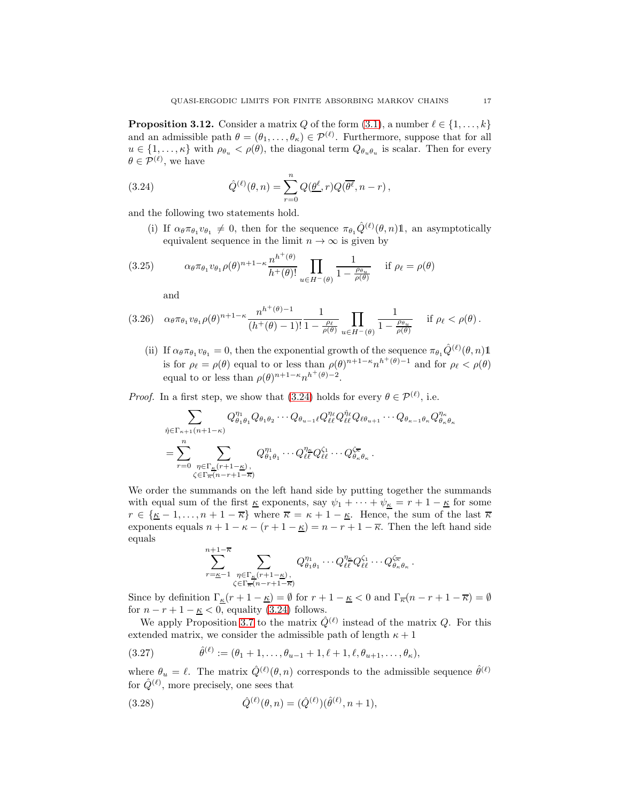<span id="page-16-2"></span>**Proposition 3.12.** Consider a matrix Q of the form [\(3.1\)](#page-3-2), a number  $\ell \in \{1, \ldots, k\}$ and an admissible path  $\theta = (\theta_1, \dots, \theta_\kappa) \in \mathcal{P}^{(\ell)}$ . Furthermore, suppose that for all  $u \in \{1, \ldots, \kappa\}$  with  $\rho_{\theta_u} < \rho(\theta)$ , the diagonal term  $Q_{\theta_u \theta_u}$  is scalar. Then for every  $\theta \in \mathcal{P}^{(\ell)}$ , we have

(3.24) 
$$
\hat{Q}^{(\ell)}(\theta,n) = \sum_{r=0}^{n} Q(\underline{\theta}^{\ell},r) Q(\overline{\theta^{\ell}},n-r),
$$

and the following two statements hold.

<span id="page-16-0"></span>(i) If  $\alpha_{\theta} \pi_{\theta_1} v_{\theta_1} \neq 0$ , then for the sequence  $\pi_{\theta_1} \hat{Q}^{(\ell)}(\theta, n) \mathbb{1}$ , an asymptotically equivalent sequence in the limit  $n \to \infty$  is given by

(3.25) 
$$
\alpha_{\theta} \pi_{\theta_1} v_{\theta_1} \rho(\theta)^{n+1-\kappa} \frac{n^{h^+(\theta)}}{h^+(\theta)!} \prod_{u \in H^-(\theta)} \frac{1}{1 - \frac{\rho_{\theta_u}}{\rho(\theta)}} \quad \text{if } \rho_\ell = \rho(\theta)
$$

<span id="page-16-3"></span>and

$$
(3.26) \quad \alpha_{\theta}\pi_{\theta_1}v_{\theta_1}\rho(\theta)^{n+1-\kappa}\frac{n^{h^+(\theta)-1}}{(h^+(\theta)-1)!}\frac{1}{1-\frac{\rho_{\ell}}{\rho(\theta)}}\prod_{u\in H^-(\theta)}\frac{1}{1-\frac{\rho_{\theta_u}}{\rho(\theta)}} \quad \text{if } \rho_{\ell} < \rho(\theta).
$$

(ii) If  $\alpha_\theta \pi_{\theta_1} v_{\theta_1} = 0$ , then the exponential growth of the sequence  $\pi_{\theta_1} \hat{Q}^{(\ell)}(\theta, n) \mathbb{1}$ is for  $\rho_{\ell} = \rho(\theta)$  equal to or less than  $\rho(\theta)^{n+1-\kappa} n^{h^+(\theta)-1}$  and for  $\rho_{\ell} < \rho(\theta)$ equal to or less than  $\rho(\theta)^{n+1-\kappa} n^{h^+(\theta)-2}$ .

*Proof.* In a first step, we show that [\(3.24\)](#page-16-0) holds for every  $\theta \in \mathcal{P}^{(\ell)}$ , i.e.

$$
\sum_{\hat{\eta} \in \Gamma_{\kappa+1}(n+1-\kappa)} Q_{\theta_1 \theta_1}^{\eta_1} Q_{\theta_1 \theta_2} \cdots Q_{\theta_{u-1} \ell} Q_{\ell \ell}^{\eta_\ell} Q_{\ell \ell}^{\hat{\eta}_\ell} Q_{\ell \theta_{u+1}} \cdots Q_{\theta_{\kappa-1} \theta_{\kappa}} Q_{\theta_{\kappa} \theta_{\kappa}}^{\eta_{\kappa}}
$$
\n
$$
= \sum_{r=0}^n \sum_{\substack{\eta \in \Gamma_{\kappa}(r+1-\kappa) \\ \zeta \in \Gamma_{\overline{\kappa}}(n-r+1-\overline{\kappa})}} Q_{\theta_1 \theta_1}^{\eta_1} \cdots Q_{\ell \ell}^{\eta_{\kappa}} Q_{\ell \ell}^{\zeta_1} \cdots Q_{\theta_{\kappa} \theta_{\kappa}}^{\zeta_{\overline{\kappa}}}.
$$

We order the summands on the left hand side by putting together the summands with equal sum of the first  $\underline{\kappa}$  exponents, say  $\psi_1 + \cdots + \psi_{\underline{\kappa}} = r + 1 - \underline{\kappa}$  for some  $r \in {\kappa - 1, ..., n + 1 - \overline{\kappa}}$  where  $\overline{\kappa} = \kappa + 1 - \underline{\kappa}$ . Hence, the sum of the last  $\overline{\kappa}$ exponents equals  $n + 1 - \kappa - (r + 1 - \underline{\kappa}) = n - r + 1 - \overline{\kappa}$ . Then the left hand side equals

$$
\sum_{r=\underline{\kappa}-1}^{n+1-\overline{\kappa}} \sum_{\substack{\eta \in \Gamma_{\underline{\kappa}}(r+1-\underline{\kappa}) \\ \zeta \in \Gamma_{\overline{\kappa}}(n-r+1-\overline{\kappa})}} Q_{\theta_1\theta_1}^{\eta_1} \cdots Q_{\ell\ell}^{\eta_{\underline{\kappa}}} Q_{\ell\ell}^{\zeta_1} \cdots Q_{\theta_{\kappa}\theta_{\kappa}}^{\zeta_{\overline{\kappa}}}.
$$

Since by definition  $\Gamma_{\underline{\kappa}}(r+1-\underline{\kappa}) = \emptyset$  for  $r+1-\underline{\kappa} < 0$  and  $\Gamma_{\overline{\kappa}}(n-r+1-\overline{\kappa}) = \emptyset$ for  $n - r + 1 - \underline{\kappa} < 0$ , equality [\(3.24\)](#page-16-0) follows.

We apply Proposition [3.7](#page-11-4) to the matrix  $\hat{Q}^{(\ell)}$  instead of the matrix Q. For this extended matrix, we consider the admissible path of length  $\kappa + 1$ 

<span id="page-16-4"></span>(3.27) 
$$
\hat{\theta}^{(\ell)} := (\theta_1 + 1, \dots, \theta_{u-1} + 1, \ell + 1, \ell, \theta_{u+1}, \dots, \theta_{\kappa}),
$$

where  $\theta_u = \ell$ . The matrix  $\hat{Q}^{(\ell)}(\theta, n)$  corresponds to the admissible sequence  $\hat{\theta}^{(\ell)}$ for  $\hat{Q}^{(\ell)}$ , more precisely, one sees that

<span id="page-16-1"></span>(3.28) 
$$
\hat{Q}^{(\ell)}(\theta, n) = (\hat{Q}^{(\ell)})(\hat{\theta}^{(\ell)}, n+1),
$$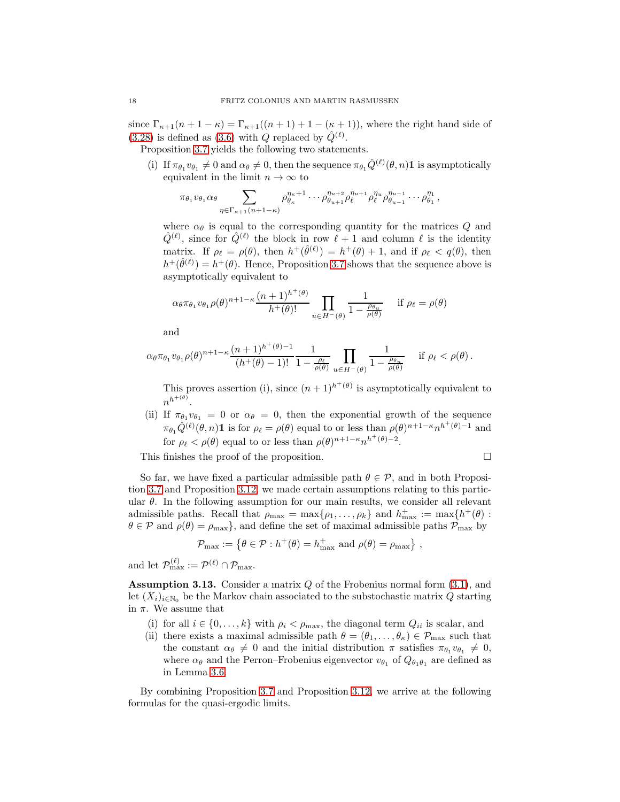since  $\Gamma_{\kappa+1}(n+1-\kappa) = \Gamma_{\kappa+1}((n+1)+1-(\kappa+1))$ , where the right hand side of [\(3.28\)](#page-16-1) is defined as [\(3.6\)](#page-6-2) with Q replaced by  $\hat{Q}^{(\ell)}$ .

Proposition [3.7](#page-11-4) yields the following two statements.

(i) If  $\pi_{\theta_1} v_{\theta_1} \neq 0$  and  $\alpha_{\theta} \neq 0$ , then the sequence  $\pi_{\theta_1} \hat{Q}^{(\ell)}(\theta, n) \mathbb{1}$  is asymptotically equivalent in the limit  $n \to \infty$  to

$$
\pi_{\theta_1} v_{\theta_1} \alpha_{\theta} \sum_{\eta \in \Gamma_{\kappa+1}(n+1-\kappa)} \rho_{\theta_{\kappa}}^{\eta_{\kappa}+1} \cdots \rho_{\theta_{u+1}}^{\eta_{u+2}} \rho_{\ell}^{\eta_{u+1}} \rho_{\ell}^{\eta_{u}} \rho_{\theta_{u-1}}^{\eta_{u-1}} \cdots \rho_{\theta_1}^{\eta_1},
$$

where  $\alpha_{\theta}$  is equal to the corresponding quantity for the matrices Q and  $\hat{Q}^{(\ell)}$ , since for  $\hat{Q}^{(\ell)}$  the block in row  $\ell + 1$  and column  $\ell$  is the identity matrix. If  $\rho_{\ell} = \rho(\theta)$ , then  $h^+(\hat{\theta}^{(\ell)}) = h^+(\theta) + 1$ , and if  $\rho_{\ell} < q(\theta)$ , then  $h^+(\hat{\theta}^{(\ell)}) = h^+(\theta)$ . Hence, Proposition [3.7](#page-11-4) shows that the sequence above is asymptotically equivalent to

$$
\alpha_{\theta}\pi_{\theta_1}v_{\theta_1}\rho(\theta)^{n+1-\kappa}\frac{(n+1)^{h^+(\theta)}}{h^+(\theta)!}\prod_{u\in H^-(\theta)}\frac{1}{1-\frac{\rho_{\theta_u}}{\rho(\theta)}}\quad\text{if }\rho_\ell=\rho(\theta)
$$

and

$$
\alpha_{\theta}\pi_{\theta_1}v_{\theta_1}\rho(\theta)^{n+1-\kappa}\frac{(n+1)^{h^+(\theta)-1}}{(h^+(\theta)-1)!}\frac{1}{1-\frac{\rho_{\ell}}{\rho(\theta)}}\prod_{u\in H^-(\theta)}\frac{1}{1-\frac{\rho_{\theta_u}}{\rho(\theta)}}\quad\text{if }\rho_{\ell}<\rho(\theta).
$$

This proves assertion (i), since  $(n+1)^{h^+(\theta)}$  is asymptotically equivalent to  $n^{h^{+(\theta)}}$ .

(ii) If  $\pi_{\theta_1} v_{\theta_1} = 0$  or  $\alpha_{\theta} = 0$ , then the exponential growth of the sequence  $\pi_{\theta_1} \hat{Q}^{(\ell)}(\theta, n)$ 1 is for  $\rho_{\ell} = \rho(\theta)$  equal to or less than  $\rho(\theta)^{n+1-\kappa} n^{h^+(\theta)-1}$  and for  $\rho_{\ell} < \rho(\theta)$  equal to or less than  $\rho(\theta)^{n+1-\kappa} n^{h^+(\theta)-2}$ .

This finishes the proof of the proposition.  $\Box$ 

So far, we have fixed a particular admissible path  $\theta \in \mathcal{P}$ , and in both Proposition [3.7](#page-11-4) and Proposition [3.12,](#page-16-2) we made certain assumptions relating to this particular  $\theta$ . In the following assumption for our main results, we consider all relevant admissible paths. Recall that  $\rho_{\text{max}} = \max\{\rho_1, \ldots, \rho_k\}$  and  $h_{\text{max}}^+ := \max\{h^+(\theta):$  $\theta \in \mathcal{P}$  and  $\rho(\theta) = \rho_{\text{max}}$ , and define the set of maximal admissible paths  $\mathcal{P}_{\text{max}}$  by

$$
\mathcal{P}_{\max} := \left\{ \theta \in \mathcal{P} : h^+(\theta) = h^+_{\max} \text{ and } \rho(\theta) = \rho_{\max} \right\},\
$$

and let  $\mathcal{P}_{\max}^{(\ell)} := \mathcal{P}^{(\ell)} \cap \mathcal{P}_{\max}$ .

<span id="page-17-0"></span>**Assumption 3.13.** Consider a matrix  $Q$  of the Frobenius normal form  $(3.1)$ , and let  $(X_i)_{i\in\mathbb{N}_0}$  be the Markov chain associated to the substochastic matrix Q starting in  $\pi$ . We assume that

- (i) for all  $i \in \{0, \ldots, k\}$  with  $\rho_i < \rho_{\text{max}}$ , the diagonal term  $Q_{ii}$  is scalar, and
- (ii) there exists a maximal admissible path  $\theta = (\theta_1, \dots, \theta_\kappa) \in \mathcal{P}_{\text{max}}$  such that the constant  $\alpha_{\theta} \neq 0$  and the initial distribution  $\pi$  satisfies  $\pi_{\theta_1} v_{\theta_1} \neq 0$ , where  $\alpha_{\theta}$  and the Perron–Frobenius eigenvector  $v_{\theta_1}$  of  $Q_{\theta_1\theta_1}$  are defined as in Lemma [3.6.](#page-10-0)

By combining Proposition [3.7](#page-11-4) and Proposition [3.12,](#page-16-2) we arrive at the following formulas for the quasi-ergodic limits.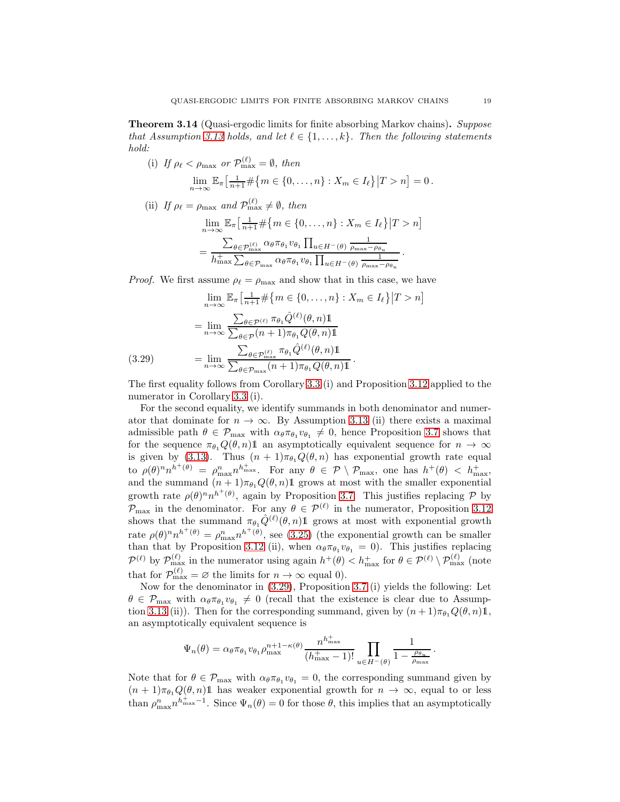<span id="page-18-0"></span>Theorem 3.14 (Quasi-ergodic limits for finite absorbing Markov chains). *Suppose that Assumption* [3.13](#page-17-0) *holds, and let*  $\ell \in \{1, \ldots, k\}$ *. Then the following statements hold:*

(i) If 
$$
\rho_{\ell} < \rho_{\max}
$$
 or  $\mathcal{P}_{\max}^{(\ell)} = \emptyset$ , then  
\n
$$
\lim_{n \to \infty} \mathbb{E}_{\pi} \left[ \frac{1}{n+1} \# \{ m \in \{0, \dots, n\} : X_m \in I_{\ell} \} | T > n \right] = 0.
$$

(ii) If  $\rho_{\ell} = \rho_{\text{max}}$  and  $\mathcal{P}_{\text{max}}^{(\ell)} \neq \emptyset$ , then

$$
\lim_{n \to \infty} \mathbb{E}_{\pi} \left[ \frac{1}{n+1} \# \{ m \in \{ 0, \dots, n \} : X_m \in I_{\ell} \} | T > n \right]
$$

$$
= \frac{\sum_{\theta \in \mathcal{P}_{\text{max}}^{(\ell)}} \alpha_{\theta} \pi_{\theta_1} v_{\theta_1} \prod_{u \in H^{-}(\theta)} \frac{1}{\rho_{\text{max}} - \rho_{\theta_u}}}{h_{\text{max}}^+ \sum_{\theta \in \mathcal{P}_{\text{max}}} \alpha_{\theta} \pi_{\theta_1} v_{\theta_1} \prod_{u \in H^{-}(\theta)} \frac{1}{\rho_{\text{max}} - \rho_{\theta_u}}}.
$$

*Proof.* We first assume  $\rho_{\ell} = \rho_{\text{max}}$  and show that in this case, we have

$$
\lim_{n \to \infty} \mathbb{E}_{\pi} \left[ \frac{1}{n+1} \# \{ m \in \{ 0, \dots, n \} : X_m \in I_{\ell} \} | T > n \right]
$$

$$
= \lim_{n \to \infty} \frac{\sum_{\theta \in \mathcal{P}^{(\ell)}} \pi_{\theta_1} \hat{Q}^{(\ell)}(\theta, n) \mathbb{1}}{\sum_{\theta \in \mathcal{P}} (n+1) \pi_{\theta_1} Q(\theta, n) \mathbb{1}}
$$

$$
(3.29) = \lim_{n \to \infty} \frac{\sum_{\theta \in \mathcal{P}_{\text{max}}^{(\ell)}} \pi_{\theta_1} \hat{Q}^{(\ell)}(\theta, n) \mathbb{1}}{\sum_{\theta \in \mathcal{P}_{\text{max}}^{(\ell)}} (n+1) \pi_{\theta_1} Q(\theta, n) \mathbb{1}}.
$$

<span id="page-18-1"></span>The first equality follows from Corollary [3.3](#page-7-0) (i) and Proposition [3.12](#page-16-2) applied to the numerator in Corollary [3.3](#page-7-0) (i).

For the second equality, we identify summands in both denominator and numerator that dominate for  $n \to \infty$ . By Assumption [3.13](#page-17-0) (ii) there exists a maximal admissible path  $\theta \in \mathcal{P}_{\text{max}}$  with  $\alpha_{\theta} \pi_{\theta_1} v_{\theta_1} \neq 0$ , hence Proposition [3.7](#page-11-4) shows that for the sequence  $\pi_{\theta_1}Q(\theta, n)1$  an asymptotically equivalent sequence for  $n \to \infty$ is given by [\(3.13\)](#page-11-6). Thus  $(n + 1)\pi_{\theta_1}Q(\theta, n)$  has exponential growth rate equal to  $\rho(\theta)^n n^{h^+(\theta)} = \rho_{\max}^n n_{\max}^{h_{\max}^+}$ . For any  $\theta \in \mathcal{P} \setminus \mathcal{P}_{\max}$ , one has  $h^+(\theta) < h_{\max}^+$ . and the summand  $(n + 1)\pi_{\theta_1}Q(\theta, n)$ 1 grows at most with the smaller exponential growth rate  $\rho(\theta)^n n^{h^+(\theta)}$ , again by Proposition [3.7.](#page-11-4) This justifies replacing  $\mathcal P$  by  $\mathcal{P}_{\text{max}}$  in the denominator. For any  $\theta \in \mathcal{P}^{(\ell)}$  in the numerator, Proposition [3.12](#page-16-2) shows that the summand  $\pi_{\theta_1} \hat{Q}^{(\ell)}(\theta, n) \mathbb{1}$  grows at most with exponential growth rate  $\rho(\theta)^n n^{h^+(\theta)} = \rho_{\text{max}}^n n^{h^+(\theta)}$ , see [\(3.25\)](#page-16-3) (the exponential growth can be smaller than that by Proposition [3.12](#page-16-2) (ii), when  $\alpha_{\theta} \pi_{\theta_1} v_{\theta_1} = 0$ ). This justifies replacing  $\mathcal{P}^{(\ell)}$  by  $\mathcal{P}_{\max}^{(\ell)}$  in the numerator using again  $h^+(\theta) < h_{\max}^+$  for  $\theta \in \mathcal{P}^{(\ell)} \setminus \mathcal{P}_{\max}^{(\ell)}$  (note that for  $\mathcal{P}_{\max}^{(\ell)} = \varnothing$  the limits for  $n \to \infty$  equal 0).

Now for the denominator in [\(3.29\)](#page-18-1), Proposition [3.7](#page-11-4) (i) yields the following: Let  $\theta \in \mathcal{P}_{\text{max}}$  with  $\alpha_{\theta} \pi_{\theta_1} v_{\theta_1} \neq 0$  (recall that the existence is clear due to Assump-tion [3.13](#page-17-0) (ii)). Then for the corresponding summand, given by  $(n+1)\pi_{\theta_1}Q(\theta,n)1$ , an asymptotically equivalent sequence is

$$
\Psi_n(\theta) = \alpha_\theta \pi_{\theta_1} v_{\theta_1} \rho_{\max}^{n+1-\kappa(\theta)} \frac{n^{h_{\max}^+}}{(h_{\max}^+ - 1)!} \prod_{u \in H^-(\theta)} \frac{1}{1 - \frac{\rho_{\theta_u}}{\rho_{\max}}}.
$$

Note that for  $\theta \in \mathcal{P}_{\text{max}}$  with  $\alpha_{\theta} \pi_{\theta_1} v_{\theta_1} = 0$ , the corresponding summand given by  $(n + 1)\pi_{\theta_1}Q(\theta, n)$  has weaker exponential growth for  $n \to \infty$ , equal to or less than  $\rho_{\max}^n n^{\frac{1}{m}}$  Since  $\Psi_n(\theta) = 0$  for those  $\theta$ , this implies that an asymptotically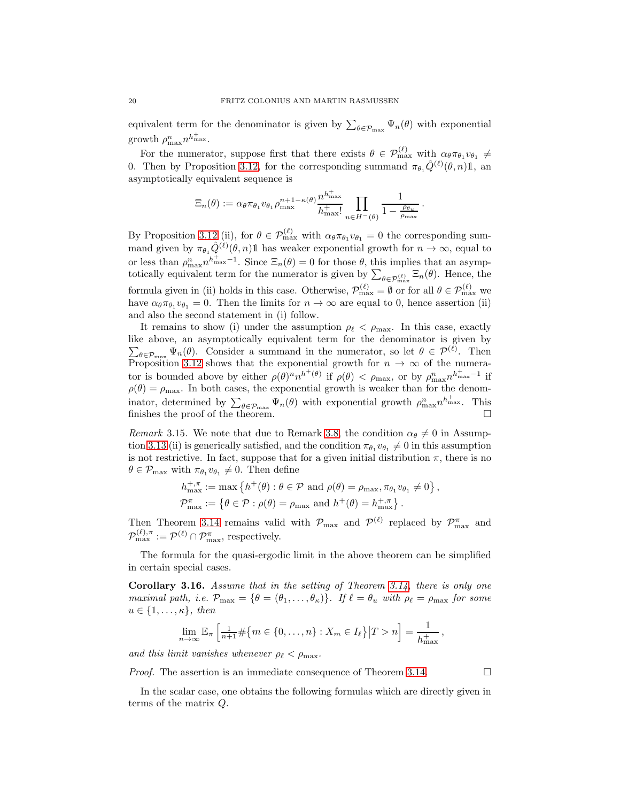equivalent term for the denominator is given by  $\sum_{\theta \in \mathcal{P}_{\text{max}}} \Psi_n(\theta)$  with exponential growth  $\rho_{\max}^n n^{h_{\max}^+}$ .

For the numerator, suppose first that there exists  $\theta \in \mathcal{P}_{\max}^{(\ell)}$  with  $\alpha_{\theta} \pi_{\theta_1} v_{\theta_1} \neq$ 0. Then by Proposition [3.12,](#page-16-2) for the corresponding summand  $\pi_{\theta_1} \hat{Q}^{(\ell)}(\theta, n) \mathbb{1}$ , an asymptotically equivalent sequence is

$$
\Xi_n(\theta) := \alpha_\theta \pi_{\theta_1} v_{\theta_1} \rho_{\max}^{n+1-\kappa(\theta)} \frac{n^{h_{\max}^+}}{h_{\max}^+} \prod_{u \in H^-(\theta)} \frac{1}{1 - \frac{\rho_{\theta_u}}{\rho_{\max}}}.
$$

By Proposition [3.12](#page-16-2) (ii), for  $\theta \in \mathcal{P}_{\text{max}}^{(\ell)}$  with  $\alpha_{\theta} \pi_{\theta_1} v_{\theta_1} = 0$  the corresponding summand given by  $\pi_{\theta_1} \hat{Q}^{(\ell)}(\theta, n) \mathbb{1}$  has weaker exponential growth for  $n \to \infty$ , equal to or less than  $\rho_{\max}^n n^{\frac{1}{n}} n^{-1}$ . Since  $\Xi_n(\theta) = 0$  for those  $\theta$ , this implies that an asymptotically equivalent term for the numerator is given by  $\sum_{\theta \in \mathcal{P}_{\text{max}}^{(\ell)}} \Xi_n(\theta)$ . Hence, the formula given in (ii) holds in this case. Otherwise,  $\mathcal{P}_{\text{max}}^{(\ell)} = \emptyset$  or for all  $\theta \in \mathcal{P}_{\text{max}}^{(\ell)}$  we have  $\alpha_{\theta} \pi_{\theta_1} v_{\theta_1} = 0$ . Then the limits for  $n \to \infty$  are equal to 0, hence assertion (ii) and also the second statement in (i) follow.

It remains to show (i) under the assumption  $\rho_{\ell} < \rho_{\text{max}}$ . In this case, exactly like above, an asymptotically equivalent term for the denominator is g iven by  $\sum_{\theta \in \mathcal{P}_{\text{max}}} \Psi_n(\theta)$ . Consider a summand in the numerator, so let  $\theta \in \mathcal{P}^{(\ell)}$ . Then Proposition [3.12](#page-16-2) shows that the exponential growth for  $n \to \infty$  of the numerator is bounded above by either  $\rho(\theta)^n n^{h^+(\theta)}$  if  $\rho(\theta) < \rho_{\max}$ , or by  $\rho_{\max}^n n^{h_{\max}^+ - 1}$  if  $\rho(\theta) = \rho_{\text{max}}$ . In both cases, the exponential growth is weaker than for the denominator, determined by  $\sum_{\theta \in \mathcal{P}_{\text{max}}} \Psi_n(\theta)$  with exponential growth  $\rho_{\text{max}}^n n^{\hat{h}_{\text{max}}^+}$ . This finishes the proof of the theorem.  $\Box$ 

*Remark* 3.15. We note that due to Remark [3.8,](#page-13-1) the condition  $\alpha_{\theta} \neq 0$  in Assump-tion [3.13](#page-17-0) (ii) is generically satisfied, and the condition  $\pi_{\theta_1} v_{\theta_1} \neq 0$  in this assumption is not restrictive. In fact, suppose that for a given initial distribution  $\pi$ , there is no  $\theta \in \mathcal{P}_{\text{max}}$  with  $\pi_{\theta_1} v_{\theta_1} \neq 0$ . Then define

$$
h_{\max}^{+,\pi} := \max \left\{ h^{+}(\theta) : \theta \in \mathcal{P} \text{ and } \rho(\theta) = \rho_{\max}, \pi_{\theta_1} v_{\theta_1} \neq 0 \right\},
$$
  

$$
\mathcal{P}_{\max}^{\pi} := \left\{ \theta \in \mathcal{P} : \rho(\theta) = \rho_{\max} \text{ and } h^{+}(\theta) = h_{\max}^{+,\pi} \right\}.
$$

Then Theorem [3.14](#page-18-0) remains valid with  $\mathcal{P}_{\text{max}}$  and  $\mathcal{P}^{(\ell)}$  replaced by  $\mathcal{P}_{\text{max}}^{\pi}$  and  $\mathcal{P}_{\max}^{(\ell),\pi} := \mathcal{P}^{(\ell)} \cap \mathcal{P}_{\max}^{\pi}$ , respectively.

The formula for the quasi-ergodic limit in the above theorem can be simplified in certain special cases.

<span id="page-19-0"></span>Corollary 3.16. *Assume that in the setting of Theorem [3.14,](#page-18-0) there is only one maximal path, i.e.*  $\mathcal{P}_{\text{max}} = \{ \theta = (\theta_1, \dots, \theta_K) \}$ *. If*  $\ell = \theta_u$  *with*  $\rho_{\ell} = \rho_{\text{max}}$  *for some*  $u \in \{1, \ldots, \kappa\},\ then$ 

$$
\lim_{n \to \infty} \mathbb{E}_{\pi} \left[ \frac{1}{n+1} \# \{ m \in \{ 0, \ldots, n \} : X_m \in I_{\ell} \} | T > n \right] = \frac{1}{h_{\max}^+},
$$

*and this limit vanishes whenever*  $\rho_{\ell} < \rho_{\text{max}}$ .

*Proof.* The assertion is an immediate consequence of Theorem [3.14.](#page-18-0) □

In the scalar case, one obtains the following formulas which are directly given in terms of the matrix Q.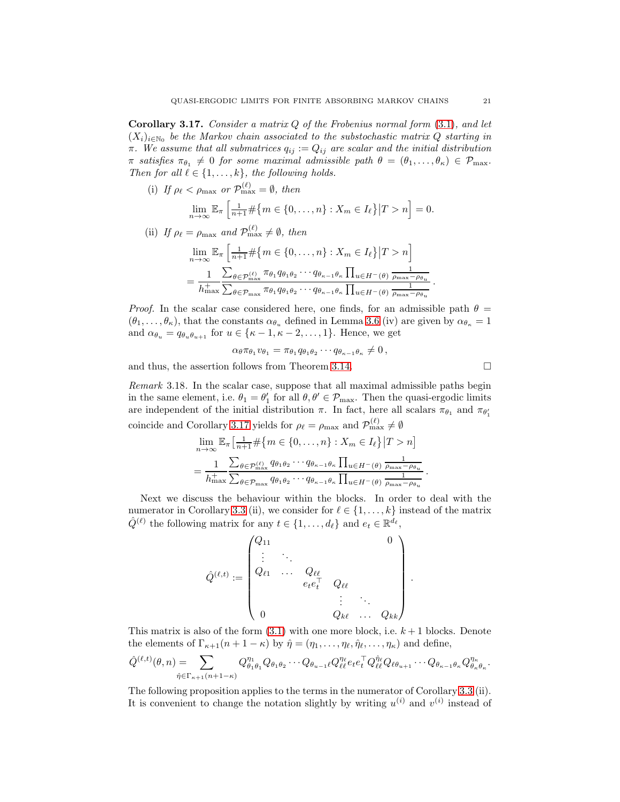<span id="page-20-0"></span>Corollary 3.17. *Consider a matrix* Q *of the Frobenius normal form* [\(3.1\)](#page-3-2)*, and let*  $(X_i)_{i\in\mathbb{N}_0}$  be the Markov chain associated to the substochastic matrix  $Q$  starting in  $\pi$ *. We assume that all submatrices*  $q_{ij} := Q_{ij}$  *are scalar and the initial distribution*  $\pi$  *satisfies*  $\pi_{\theta_1} \neq 0$  *for some maximal admissible path*  $\theta = (\theta_1, \dots, \theta_\kappa) \in \mathcal{P}_{\text{max}}$ . *Then for all*  $\ell \in \{1, \ldots, k\}$ *, the following holds.* 

(i) If  $\rho_{\ell} < \rho_{\text{max}}$  or  $\mathcal{P}_{\text{max}}^{(\ell)} = \emptyset$ , then

$$
\lim_{n \to \infty} \mathbb{E}_{\pi} \left[ \frac{1}{n+1} \# \{ m \in \{ 0, \dots, n \} : X_m \in I_{\ell} \} | T > n \right] = 0.
$$

(ii) If  $\rho_{\ell} = \rho_{\text{max}}$  and  $\mathcal{P}_{\text{max}}^{(\ell)} \neq \emptyset$ , then

$$
\lim_{n \to \infty} \mathbb{E}_{\pi} \left[ \frac{1}{n+1} \# \{ m \in \{ 0, \dots, n \} : X_m \in I_\ell \} | T > n \right]
$$

$$
= \frac{1}{h_{\max}^+} \frac{\sum_{\theta \in \mathcal{P}_{\max}^{(\ell)}} \pi_{\theta_1} q_{\theta_1 \theta_2} \cdots q_{\theta_{\kappa-1} \theta_{\kappa}} \prod_{u \in H^-(\theta)} \frac{1}{\rho_{\max} - \rho_{\theta_u}}}{\sum_{\theta \in \mathcal{P}_{\max}} \pi_{\theta_1} q_{\theta_1 \theta_2} \cdots q_{\theta_{\kappa-1} \theta_{\kappa}} \prod_{u \in H^-(\theta)} \frac{1}{\rho_{\max} - \rho_{\theta_u}}}
$$

*Proof.* In the scalar case considered here, one finds, for an admissible path  $\theta =$  $(\theta_1, \ldots, \theta_\kappa)$ , that the constants  $\alpha_{\theta_u}$  defined in Lemma [3.6](#page-10-0) (iv) are given by  $\alpha_{\theta_\kappa} = 1$ and  $\alpha_{\theta_u} = q_{\theta_u \theta_{u+1}}$  for  $u \in {\kappa - 1, \kappa - 2, \ldots, 1}.$  Hence, we get

$$
\alpha_{\theta}\pi_{\theta_1}v_{\theta_1}=\pi_{\theta_1}q_{\theta_1\theta_2}\cdots q_{\theta_{\kappa-1}\theta_{\kappa}}\neq 0\,,
$$

and thus, the assertion follows from Theorem [3.14.](#page-18-0)

<span id="page-20-1"></span>*Remark* 3.18*.* In the scalar case, suppose that all maximal admissible paths begin in the same element, i.e.  $\theta_1 = \theta'_1$  for all  $\theta, \theta' \in \mathcal{P}_{\text{max}}$ . Then the quasi-ergodic limits are independent of the initial distribution  $\pi$ . In fact, here all scalars  $\pi_{\theta_1}$  and  $\pi_{\theta'_1}$ coincide and Corollary [3.17](#page-20-0) yields for  $\rho_{\ell} = \rho_{\text{max}}$  and  $\mathcal{P}_{\text{max}}^{(\ell)} \neq \emptyset$ 

$$
\lim_{n \to \infty} \mathbb{E}_{\pi} \left[ \frac{1}{n+1} \# \{ m \in \{ 0, \dots, n \} : X_m \in I_\ell \} | T > n \right]
$$
  
= 
$$
\frac{1}{h_{\max}^+} \frac{\sum_{\theta \in \mathcal{P}_{\max}^{(\ell)}} q_{\theta_1 \theta_2} \cdots q_{\theta_{\kappa-1} \theta_{\kappa}} \prod_{u \in H^-(\theta)} \frac{1}{\rho_{\max} - \rho_{\theta_u}}}{\sum_{\theta \in \mathcal{P}_{\max}} q_{\theta_1 \theta_2} \cdots q_{\theta_{\kappa-1} \theta_{\kappa}} \prod_{u \in H^-(\theta)} \frac{1}{\rho_{\max} - \rho_{\theta_u}}}.
$$

Next we discuss the behaviour within the blocks. In order to deal with the numerator in Corollary [3.3](#page-7-0) (ii), we consider for  $\ell \in \{1, ..., k\}$  instead of the matrix  $\hat{Q}^{(\ell)}$  the following matrix for any  $t \in \{1, ..., d_{\ell}\}\$ and  $e_t \in \mathbb{R}^{d_{\ell}},$ 

$$
\hat{Q}^{(\ell,t)} := \begin{pmatrix} Q_{11} & & & & & 0 \\ \vdots & \ddots & & & & \\ Q_{\ell 1} & \cdots & Q_{\ell \ell} & & & \\ & & e_{t}e_{t}^{\top} & Q_{\ell \ell} & & \\ & & & \vdots & \ddots & \\ 0 & & & Q_{k \ell} & \cdots & Q_{kk} \end{pmatrix}
$$

This matrix is also of the form  $(3.1)$  with one more block, i.e.  $k+1$  blocks. Denote the elements of  $\Gamma_{\kappa+1}(n+1-\kappa)$  by  $\hat{\eta} = (\eta_1, \ldots, \eta_\ell, \hat{\eta}_\ell, \ldots, \eta_\kappa)$  and define,

$$
\hat{Q}^{(\ell,t)}(\theta,n) = \sum_{\hat{\eta} \in \Gamma_{\kappa+1}(n+1-\kappa)} Q^{\eta_1}_{\theta_1 \theta_1} Q_{\theta_1 \theta_2} \cdots Q_{\theta_{u-1} \ell} Q^{\eta_\ell}_{\ell \ell} e_t e_t^\top Q^{\hat{\eta}_\ell}_{\ell \ell} Q_{\ell \theta_{u+1}} \cdots Q_{\theta_{\kappa-1} \theta_{\kappa}} Q^{\eta_{\kappa}}_{\theta_{\kappa} \theta_{\kappa}}.
$$

The following proposition applies to the terms in the numerator of Corollary [3.3](#page-7-0) (ii). It is convenient to change the notation slightly by writing  $u^{(i)}$  and  $v^{(i)}$  instead of

$$
\qquad \qquad \Box
$$

.

.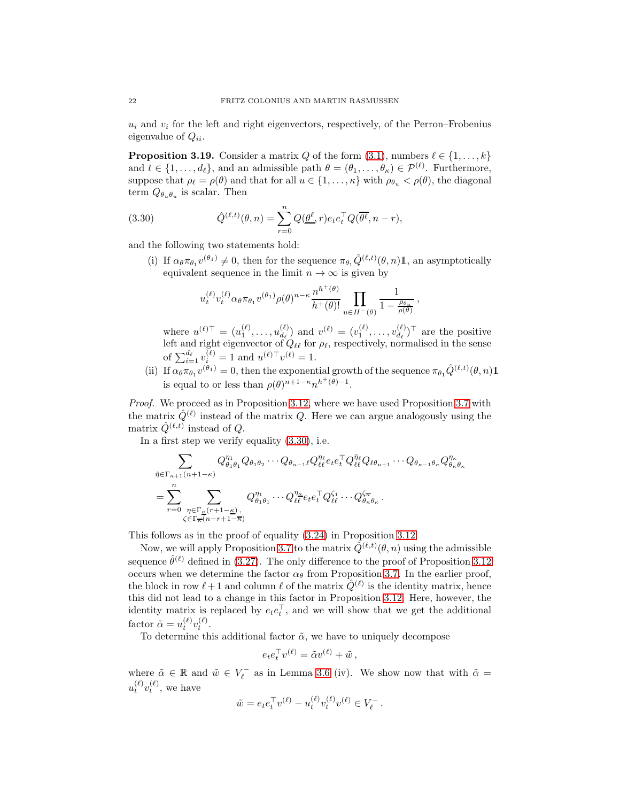$u_i$  and  $v_i$  for the left and right eigenvectors, respectively, of the Perron–Frobenius eigenvalue of  $Q_{ii}$ .

<span id="page-21-1"></span>**Proposition 3.19.** Consider a matrix Q of the form  $(3.1)$ , numbers  $\ell \in \{1, ..., k\}$ and  $t \in \{1, ..., d_{\ell}\}\$ , and an admissible path  $\theta = (\theta_1, ..., \theta_{\kappa}) \in \mathcal{P}^{(\ell)}\$ . Furthermore, suppose that  $\rho_{\ell} = \rho(\theta)$  and that for all  $u \in \{1, ..., \kappa\}$  with  $\rho_{\theta_u} < \rho(\theta)$ , the diagonal term  $Q_{\theta_u \theta_u}$  is scalar. Then

(3.30) 
$$
\hat{Q}^{(\ell,t)}(\theta,n) = \sum_{r=0}^{n} Q(\underline{\theta}^{\ell},r) e_t e_t^{\top} Q(\overline{\theta^{\ell}},n-r),
$$

and the following two statements hold:

(i) If  $\alpha_{\theta} \pi_{\theta_1} v^{(\theta_1)} \neq 0$ , then for the sequence  $\pi_{\theta_1} \hat{Q}^{(\ell,t)}(\theta, n) \mathbb{1}$ , an asymptotically equivalent sequence in the limit  $n \to \infty$  is given by

<span id="page-21-0"></span>
$$
u_t^{(\ell)} v_t^{(\ell)} \alpha_\theta \pi_{\theta_1} v^{(\theta_1)} \rho(\theta)^{n-\kappa} \frac{n^{h^+(\theta)}}{h^+(\theta)!} \prod_{u \in H^-(\theta)} \frac{1}{1 - \frac{\rho_{\theta_u}}{\rho(\theta)}}
$$

where  $u^{(\ell)\top} = (u_1^{(\ell)}, \ldots, u_{d_\ell}^{(\ell)})$  $\begin{pmatrix} (\ell) \\ d_{\ell} \end{pmatrix}$  and  $v^{(\ell)} = (v_1^{(\ell)}, \ldots, v_{d_{\ell}}^{(\ell)})$  $\frac{d^{(\ell)}}{d_{\ell}}$ <sup>T</sup> are the positive left and right eigenvector of  $Q_{\ell\ell}$  for  $\rho_{\ell}$ , respectively, normalised in the sense of  $\sum_{i=1}^{d_{\ell}} v_i^{(\ell)} = 1$  and  $u^{(\ell)\top}v^{(\ell)} = 1$ .

,

(ii) If  $\alpha_{\theta} \pi_{\theta_1} v^{(\theta_1)} = 0$ , then the exponential growth of the sequence  $\pi_{\theta_1} \hat{Q}^{(\ell,t)}(\theta, n) \mathbb{1}$ is equal to or less than  $\rho(\theta)^{n+1-\kappa} n^{h^+(\theta)-1}$ .

*Proof.* We proceed as in Proposition [3.12,](#page-16-2) where we have used Proposition [3.7](#page-11-4) with the matrix  $\hat{Q}^{(\ell)}$  instead of the matrix Q. Here we can argue analogously using the matrix  $\hat{Q}^{(\ell,t)}$  instead of Q.

In a first step we verify equality [\(3.30\)](#page-21-0), i.e.

$$
\sum_{\hat{\eta} \in \Gamma_{\kappa+1}(n+1-\kappa)} Q_{\theta_1 \theta_1}^{\eta_1} Q_{\theta_1 \theta_2} \cdots Q_{\theta_{u-1} \ell} Q_{\ell \ell}^{\eta_\ell} e_t e_t^\top Q_{\ell \ell}^{\hat{\eta}_\ell} Q_{\ell \theta_{u+1}} \cdots Q_{\theta_{\kappa-1} \theta_\kappa} Q_{\theta_\kappa \theta_\kappa}^{\eta_\kappa}
$$
\n
$$
= \sum_{r=0}^n \sum_{\substack{\eta \in \Gamma_{\kappa}(r+1-\kappa) \\ \zeta \in \Gamma_{\overline{\kappa}}(n-r+1-\kappa)}} Q_{\theta_1 \theta_1}^{\eta_1} \cdots Q_{\ell \ell}^{\eta_{\overline{\kappa}}} e_t e_t^\top Q_{\ell \ell}^{\zeta_1} \cdots Q_{\theta_\kappa \theta_\kappa}^{\zeta_{\overline{\kappa}}}.
$$

This follows as in the proof of equality [\(3.24\)](#page-16-0) in Proposition [3.12.](#page-16-2)

Now, we will apply Proposition [3.7](#page-11-4) to the matrix  $\hat{Q}^{(\ell,t)}(\theta,n)$  using the admissible sequence  $\hat{\theta}^{(\ell)}$  defined in [\(3.27\)](#page-16-4). The only difference to the proof of Proposition [3.12](#page-16-2) occurs when we determine the factor  $\alpha_{\theta}$  from Proposition [3.7.](#page-11-4) In the earlier proof, the block in row  $\ell + 1$  and column  $\ell$  of the matrix  $\hat{Q}^{(\ell)}$  is the identity matrix, hence this did not lead to a change in this factor in Proposition [3.12.](#page-16-2) Here, however, the identity matrix is replaced by  $e_t e_t^{\top}$ , and we will show that we get the additional factor  $\tilde{\alpha} = u_t^{(\ell)} v_t^{(\ell)}.$ 

To determine this additional factor  $\tilde{\alpha}$ , we have to uniquely decompose

$$
e_t e_t^\top v^{(\ell)} = \tilde{\alpha} v^{(\ell)} + \tilde{w},
$$

where  $\tilde{\alpha} \in \mathbb{R}$  and  $\tilde{w} \in V_{\ell}^-$  as in Lemma [3.6](#page-10-0) (iv). We show now that with  $\tilde{\alpha} =$  $u_t^{(\ell)} v_t^{(\ell)}$ , we have

$$
\tilde{w} = e_t e_t^{\top} v^{(\ell)} - u_t^{(\ell)} v_t^{(\ell)} v^{(\ell)} \in V_\ell^-.
$$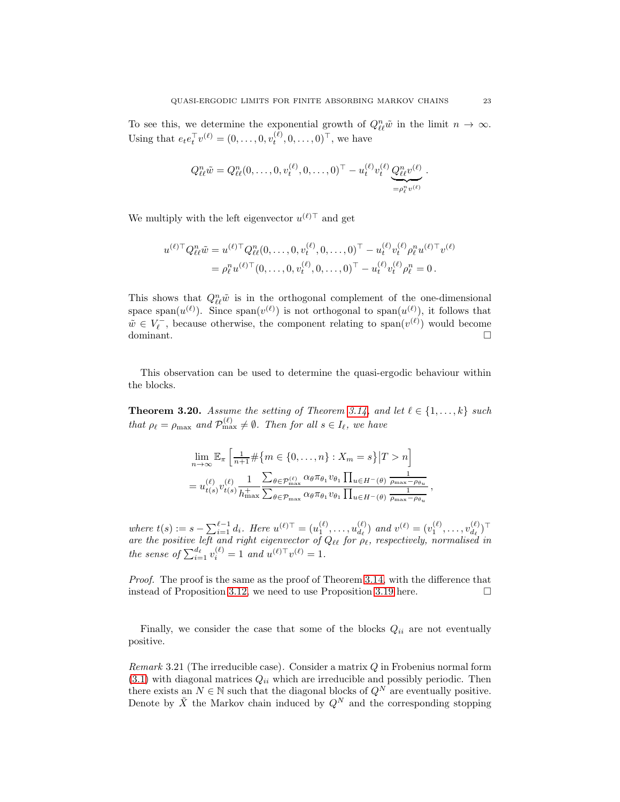To see this, we determine the exponential growth of  $Q_{\ell\ell}^n\tilde{\omega}$  in the limit  $n \to \infty$ . Using that  $e_t e_t^{\top} v^{(\ell)} = (0, \dots, 0, v_t^{(\ell)}, 0, \dots, 0)^{\top}$ , we have

$$
Q_{\ell\ell}^n \tilde{w} = Q_{\ell\ell}^n (0, \ldots, 0, v_t^{(\ell)}, 0, \ldots, 0)^\top - u_t^{(\ell)} v_t^{(\ell)} \underbrace{Q_{\ell\ell}^n v^{(\ell)}}_{= \rho_{\ell}^n v^{(\ell)}}.
$$

We multiply with the left eigenvector  $u^{(\ell)\top}$  and get

$$
u^{(\ell)\top} Q_{\ell\ell}^n \tilde{w} = u^{(\ell)\top} Q_{\ell\ell}^n (0, \dots, 0, v_t^{(\ell)}, 0, \dots, 0)^\top - u_t^{(\ell)} v_t^{(\ell)} \rho_{\ell}^n u^{(\ell)\top} v^{(\ell)}
$$
  
=  $\rho_{\ell}^n u^{(\ell)\top} (0, \dots, 0, v_t^{(\ell)}, 0, \dots, 0)^\top - u_t^{(\ell)} v_t^{(\ell)} \rho_{\ell}^n = 0.$ 

This shows that  $Q_{\ell\ell}^n\tilde{w}$  is in the orthogonal complement of the one-dimensional space span $(u^{(\ell)})$ . Since span $(v^{(\ell)})$  is not orthogonal to span $(u^{(\ell)})$ , it follows that  $\tilde{w} \in V_{\ell}^-$ , because otherwise, the component relating to span $(v^{(\ell)})$  would become dominant. □

This observation can be used to determine the quasi-ergodic behaviour within the blocks.

<span id="page-22-0"></span>**Theorem 3.20.** *Assume the setting of Theorem [3.14,](#page-18-0)* and let  $l \in \{1, \ldots, k\}$  *such that*  $\rho_{\ell} = \rho_{\text{max}}$  *and*  $\mathcal{P}_{\text{max}}^{(\ell)} \neq \emptyset$ *. Then for all*  $s \in I_{\ell}$ *, we have* 

$$
\lim_{n \to \infty} \mathbb{E}_{\pi} \left[ \frac{1}{n+1} \# \{ m \in \{ 0, \dots, n \} : X_m = s \} | T > n \right]
$$
  
=  $u_{t(s)}^{(\ell)} v_{t(s)}^{(\ell)} \frac{1}{h_{\max}^+} \frac{\sum_{\theta \in \mathcal{P}_{\max}^{(\ell)}} \alpha_{\theta} \pi_{\theta_1} v_{\theta_1} \prod_{u \in H^-(\theta)} \frac{1}{\rho_{\max} - \rho_{\theta_u}}}{\sum_{\theta \in \mathcal{P}_{\max}} \alpha_{\theta} \pi_{\theta_1} v_{\theta_1} \prod_{u \in H^-(\theta)} \frac{1}{\rho_{\max} - \rho_{\theta_u}}},$ 

*where*  $t(s) := s - \sum_{i=1}^{\ell-1} d_i$ . *Here*  $u^{(\ell)} \top = (u_1^{(\ell)}, \dots, u_{d_\ell}^{(\ell)})$  $\begin{pmatrix} (\ell) \\ d_{\ell} \end{pmatrix}$  and  $v^{(\ell)} = (v_1^{(\ell)}, \ldots, v_{d_{\ell}}^{(\ell)})$  $\binom{\ell}{d_\ell}$  ) *are the positive left and right eigenvector of* Qℓℓ *for* ρℓ*, respectively, normalised in the sense of*  $\sum_{i=1}^{d_{\ell}} v_i^{(\ell)} = 1$  *and*  $u^{(\ell)\top}v^{(\ell)} = 1$ *.* 

*Proof.* The proof is the same as the proof of Theorem [3.14,](#page-18-0) with the difference that instead of Proposition [3.12,](#page-16-2) we need to use Proposition [3.19](#page-21-1) here.  $\Box$ 

Finally, we consider the case that some of the blocks  $Q_{ii}$  are not eventually positive.

<span id="page-22-1"></span>*Remark* 3.21 (The irreducible case)*.* Consider a matrix Q in Frobenius normal form  $(3.1)$  with diagonal matrices  $Q_{ii}$  which are irreducible and possibly periodic. Then there exists an  $N \in \mathbb{N}$  such that the diagonal blocks of  $Q^N$  are eventually positive. Denote by  $\tilde{X}$  the Markov chain induced by  $Q^N$  and the corresponding stopping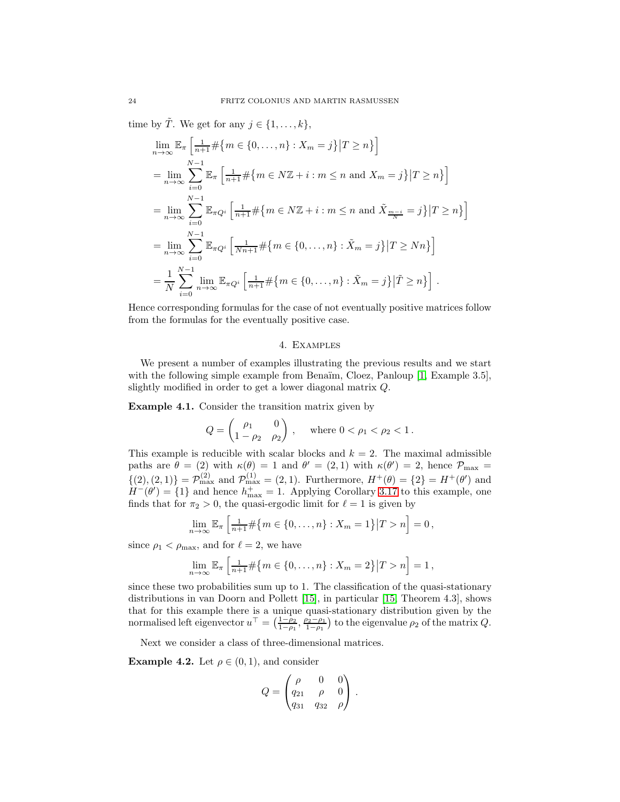time by  $\tilde{T}$ . We get for any  $j \in \{1, \ldots, k\},\$ 

$$
\lim_{n \to \infty} \mathbb{E}_{\pi} \left[ \frac{1}{n+1} \# \{ m \in \{ 0, \dots, n \} : X_m = j \} | T \ge n \} \right]
$$
\n
$$
= \lim_{n \to \infty} \sum_{i=0}^{N-1} \mathbb{E}_{\pi} \left[ \frac{1}{n+1} \# \{ m \in N\mathbb{Z} + i : m \le n \text{ and } X_m = j \} | T \ge n \} \right]
$$
\n
$$
= \lim_{n \to \infty} \sum_{i=0}^{N-1} \mathbb{E}_{\pi Q^i} \left[ \frac{1}{n+1} \# \{ m \in N\mathbb{Z} + i : m \le n \text{ and } \tilde{X}_{\frac{m-i}{N}} = j \} | T \ge n \} \right]
$$
\n
$$
= \lim_{n \to \infty} \sum_{i=0}^{N-1} \mathbb{E}_{\pi Q^i} \left[ \frac{1}{Nn+1} \# \{ m \in \{ 0, \dots, n \} : \tilde{X}_m = j \} | T \ge Nn \} \right]
$$
\n
$$
= \frac{1}{N} \sum_{i=0}^{N-1} \lim_{n \to \infty} \mathbb{E}_{\pi Q^i} \left[ \frac{1}{n+1} \# \{ m \in \{ 0, \dots, n \} : \tilde{X}_m = j \} | \tilde{T} \ge n \} \right].
$$

<span id="page-23-0"></span>Hence corresponding formulas for the case of not eventually positive matrices follow from the formulas for the eventually positive case.

# 4. Examples

We present a number of examples illustrating the previous results and we start with the following simple example from Benaïm, Cloez, Panloup [\[1,](#page-28-7) Example 3.5], slightly modified in order to get a lower diagonal matrix Q.

Example 4.1. Consider the transition matrix given by

$$
Q = \begin{pmatrix} \rho_1 & 0 \\ 1 - \rho_2 & \rho_2 \end{pmatrix}, \text{ where } 0 < \rho_1 < \rho_2 < 1.
$$

This example is reducible with scalar blocks and  $k = 2$ . The maximal admissible paths are  $\theta = (2)$  with  $\kappa(\theta) = 1$  and  $\theta' = (2, 1)$  with  $\kappa(\theta') = 2$ , hence  $\mathcal{P}_{\text{max}} =$  $\{(2), (2, 1)\} = \mathcal{P}_{\max}^{(2)}$  and  $\mathcal{P}_{\max}^{(1)} = (2, 1)$ . Furthermore,  $H^+(\theta) = \{2\} = H^+(\theta')$  and  $H^{-}(\theta') = \{1\}$  and hence  $h_{\text{max}}^{+} = 1$ . Applying Corollary [3.17](#page-20-0) to this example, one finds that for  $\pi_2 > 0$ , the quasi-ergodic limit for  $\ell = 1$  is given by

$$
\lim_{n \to \infty} \mathbb{E}_{\pi} \left[ \frac{1}{n+1} \# \{ m \in \{ 0, \dots, n \} : X_m = 1 \} | T > n \right] = 0,
$$

since  $\rho_1 < \rho_{\text{max}}$ , and for  $\ell = 2$ , we have

$$
\lim_{n \to \infty} \mathbb{E}_{\pi} \left[ \frac{1}{n+1} \# \{ m \in \{ 0, \dots, n \} : X_m = 2 \} | T > n \right] = 1,
$$

since these two probabilities sum up to 1. The classification of the quasi-stationary distributions in van Doorn and Pollett [\[15\]](#page-29-4), in particular [\[15,](#page-29-4) Theorem 4.3], shows that for this example there is a unique quasi-stationary distribution given by the normalised left eigenvector  $u^{\top} = \left(\frac{1-\rho_2}{1-\rho_1}, \frac{\rho_2-\rho_1}{1-\rho_1}\right)$  to the eigenvalue  $\rho_2$  of the matrix  $Q$ .

Next we consider a class of three-dimensional matrices.

**Example 4.2.** Let  $\rho \in (0,1)$ , and consider

$$
Q = \begin{pmatrix} \rho & 0 & 0 \\ q_{21} & \rho & 0 \\ q_{31} & q_{32} & \rho \end{pmatrix}.
$$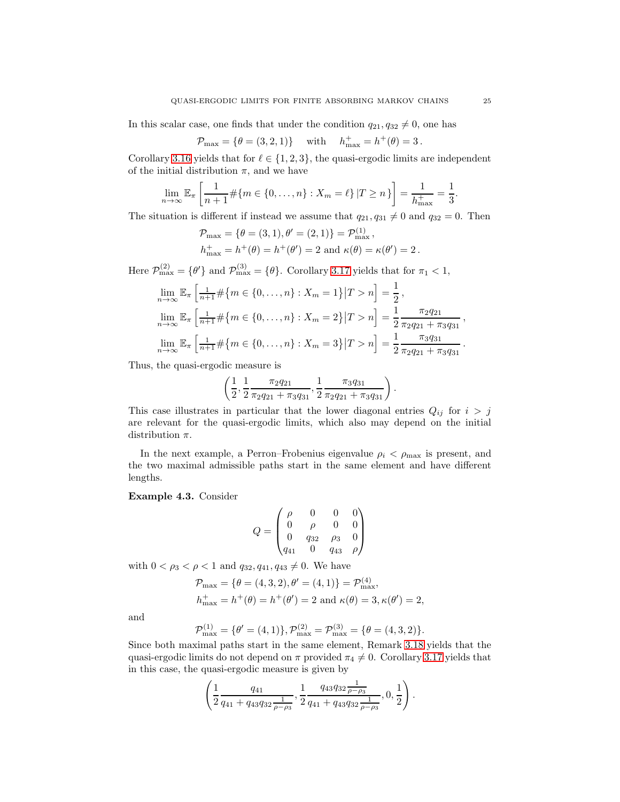In this scalar case, one finds that under the condition  $q_{21}, q_{32} \neq 0$ , one has

$$
\mathcal{P}_{\text{max}} = \{ \theta = (3, 2, 1) \}
$$
 with  $h_{\text{max}}^+ = h^+(\theta) = 3$ .

Corollary [3.16](#page-19-0) yields that for  $\ell \in \{1, 2, 3\}$ , the quasi-ergodic limits are independent of the initial distribution  $\pi$ , and we have

$$
\lim_{n \to \infty} \mathbb{E}_{\pi} \left[ \frac{1}{n+1} \# \{ m \in \{ 0, \dots, n \} : X_m = \ell \} | T \ge n \} \right] = \frac{1}{h_{\max}^+} = \frac{1}{3}.
$$

The situation is different if instead we assume that  $q_{21}, q_{31} \neq 0$  and  $q_{32} = 0$ . Then

$$
\mathcal{P}_{\text{max}} = \{ \theta = (3, 1), \theta' = (2, 1) \} = \mathcal{P}_{\text{max}}^{(1)}, \n h_{\text{max}}^+ = h^+(\theta) = h^+(\theta') = 2 \text{ and } \kappa(\theta) = \kappa(\theta') = 2.
$$

Here  $\mathcal{P}_{\max}^{(2)} = \{\theta'\}\$  and  $\mathcal{P}_{\max}^{(3)} = \{\theta\}\$ . Corollary [3.17](#page-20-0) yields that for  $\pi_1 < 1$ ,

$$
\lim_{n \to \infty} \mathbb{E}_{\pi} \left[ \frac{1}{n+1} \# \{ m \in \{ 0, \dots, n \} : X_m = 1 \} | T > n \right] = \frac{1}{2},
$$
\n
$$
\lim_{n \to \infty} \mathbb{E}_{\pi} \left[ \frac{1}{n+1} \# \{ m \in \{ 0, \dots, n \} : X_m = 2 \} | T > n \right] = \frac{1}{2} \frac{\pi_2 q_{21}}{\pi_2 q_{21} + \pi_3 q_{31}},
$$
\n
$$
\lim_{n \to \infty} \mathbb{E}_{\pi} \left[ \frac{1}{n+1} \# \{ m \in \{ 0, \dots, n \} : X_m = 3 \} | T > n \right] = \frac{1}{2} \frac{\pi_3 q_{31}}{\pi_2 q_{21} + \pi_3 q_{31}}.
$$

Thus, the quasi-ergodic measure is

$$
\left(\frac{1}{2},\frac{1}{2}\frac{\pi_2q_{21}}{\pi_2q_{21}+\pi_3q_{31}},\frac{1}{2}\frac{\pi_3q_{31}}{\pi_2q_{21}+\pi_3q_{31}}\right)
$$

.

This case illustrates in particular that the lower diagonal entries  $Q_{ij}$  for  $i > j$ are relevant for the quasi-ergodic limits, which also may depend on the initial distribution  $\pi$ .

In the next example, a Perron–Frobenius eigenvalue  $\rho_i < \rho_{\text{max}}$  is present, and the two maximal admissible paths start in the same element and have different lengths.

Example 4.3. Consider

$$
Q = \begin{pmatrix} \rho & 0 & 0 & 0 \\ 0 & \rho & 0 & 0 \\ 0 & q_{32} & \rho_3 & 0 \\ q_{41} & 0 & q_{43} & \rho \end{pmatrix}
$$

with  $0 < \rho_3 < \rho < 1$  and  $q_{32}, q_{41}, q_{43} \neq 0$ . We have

$$
\mathcal{P}_{\text{max}} = \{ \theta = (4, 3, 2), \theta' = (4, 1) \} = \mathcal{P}_{\text{max}}^{(4)}, \n h_{\text{max}}^+ = h^+(\theta) = h^+(\theta') = 2 \text{ and } \kappa(\theta) = 3, \kappa(\theta') = 2,
$$

and

$$
\mathcal{P}_{\max}^{(1)} = \{ \theta' = (4, 1) \}, \mathcal{P}_{\max}^{(2)} = \mathcal{P}_{\max}^{(3)} = \{ \theta = (4, 3, 2) \}.
$$

Since both maximal paths start in the same element, Remark [3.18](#page-20-1) yields that the quasi-ergodic limits do not depend on  $\pi$  provided  $\pi_4 \neq 0$ . Corollary [3.17](#page-20-0) yields that in this case, the quasi-ergodic measure is given by

$$
\left(\frac{1}{2}\frac{q_{41}}{q_{41}+q_{43}q_{32}\frac{1}{\rho-\rho_3}},\frac{1}{2}\frac{q_{43}q_{32}\frac{1}{\rho-\rho_3}}{q_{41}+q_{43}q_{32}\frac{1}{\rho-\rho_3}},0,\frac{1}{2}\right).
$$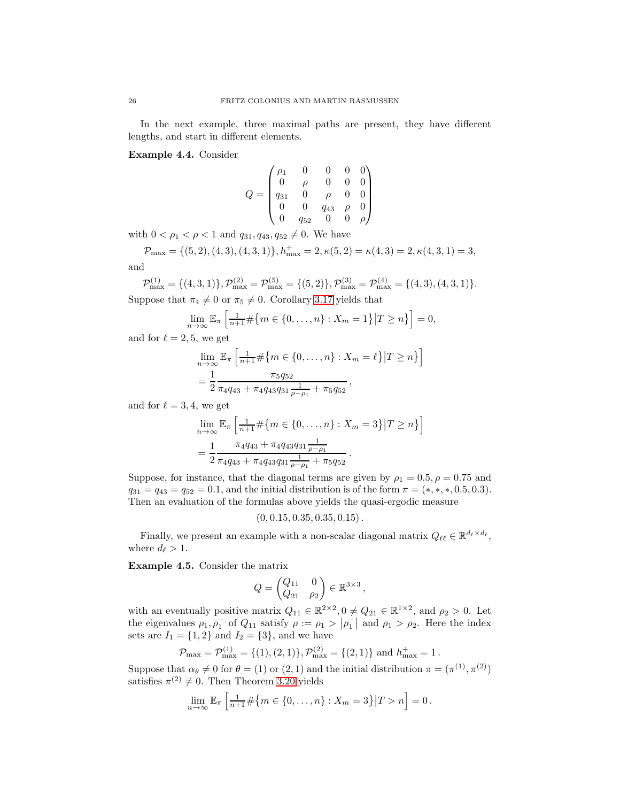In the next example, three maximal paths are present, they have different lengths, and start in different elements.

Example 4.4. Consider

$$
Q = \begin{pmatrix} \rho_1 & 0 & 0 & 0 & 0 \\ 0 & \rho & 0 & 0 & 0 \\ q_{31} & 0 & \rho & 0 & 0 \\ 0 & 0 & q_{43} & \rho & 0 \\ 0 & q_{52} & 0 & 0 & \rho \end{pmatrix}
$$

with  $0 < \rho_1 < \rho < 1$  and  $q_{31}, q_{43}, q_{52} \neq 0$ . We have

 $\mathcal{P}_{\text{max}} = \{(5, 2), (4, 3), (4, 3, 1)\}, h_{\text{max}}^+ = 2, \kappa(5, 2) = \kappa(4, 3) = 2, \kappa(4, 3, 1) = 3,$ and

 $\mathcal{P}_{\text{max}}^{(1)} = \{(4,3,1)\}, \mathcal{P}_{\text{max}}^{(2)} = \mathcal{P}_{\text{max}}^{(5)} = \{(5,2)\}, \mathcal{P}_{\text{max}}^{(3)} = \mathcal{P}_{\text{max}}^{(4)} = \{(4,3),(4,3,1)\}.$ 

Suppose that  $\pi_4 \neq 0$  or  $\pi_5 \neq 0$ . Corollary [3.17](#page-20-0) yields that

$$
\lim_{n\to\infty}\mathbb{E}_{\pi}\left[\frac{1}{n+1}\#\{m\in\{0,\ldots,n\}:X_m=1\}\big|T\geq n\}\right]=0,
$$

and for  $\ell = 2, 5$ , we get

$$
\lim_{n \to \infty} \mathbb{E}_{\pi} \left[ \frac{1}{n+1} \# \{ m \in \{ 0, \dots, n \} : X_m = \ell \} | T \ge n \} \right]
$$
  
=  $\frac{1}{2} \frac{\pi_5 q_{52}}{\pi_4 q_{43} + \pi_4 q_{43} q_{31} \frac{1}{\rho - \rho_1} + \pi_5 q_{52}},$ 

and for  $\ell = 3, 4$ , we get

$$
\lim_{n \to \infty} \mathbb{E}_{\pi} \left[ \frac{1}{n+1} \# \{ m \in \{ 0, \dots, n \} : X_m = 3 \} | T \ge n \} \right]
$$
  
= 
$$
\frac{1}{2} \frac{\pi_4 q_{43} + \pi_4 q_{43} q_{31} \frac{1}{\rho - \rho_1}}{\pi_4 q_{43} + \pi_4 q_{43} q_{31} \frac{1}{\rho - \rho_1} + \pi_5 q_{52}}.
$$

Suppose, for instance, that the diagonal terms are given by  $\rho_1 = 0.5, \rho = 0.75$  and  $q_{31} = q_{43} = q_{52} = 0.1$ , and the initial distribution is of the form  $\pi = (*, *, *, 0.5, 0.3)$ . Then an evaluation of the formulas above yields the quasi-ergodic measure

$$
(0, 0.15, 0.35, 0.35, 0.15).
$$

Finally, we present an example with a non-scalar diagonal matrix  $Q_{\ell\ell} \in \mathbb{R}^{d_{\ell} \times d_{\ell}}$ , where  $d_{\ell} > 1$ .

Example 4.5. Consider the matrix

$$
Q = \begin{pmatrix} Q_{11} & 0 \\ Q_{21} & \rho_2 \end{pmatrix} \in \mathbb{R}^{3 \times 3},
$$

with an eventually positive matrix  $Q_{11} \in \mathbb{R}^{2 \times 2}$ ,  $0 \neq Q_{21} \in \mathbb{R}^{1 \times 2}$ , and  $\rho_2 > 0$ . Let the eigenvalues  $\rho_1, \rho_1^-$  of  $Q_{11}$  satisfy  $\rho := \rho_1 > |\rho_1^-|$  and  $\rho_1 > \rho_2$ . Here the index sets are  $I_1 = \{1, 2\}$  and  $I_2 = \{3\}$ , and we have

$$
\mathcal{P}_{\text{max}} = \mathcal{P}_{\text{max}}^{(1)} = \{(1), (2, 1)\}, \mathcal{P}_{\text{max}}^{(2)} = \{(2, 1)\}
$$
 and  $h_{\text{max}}^+ = 1$ .

Suppose that  $\alpha_{\theta} \neq 0$  for  $\theta = (1)$  or  $(2, 1)$  and the initial distribution  $\pi = (\pi^{(1)}, \pi^{(2)})$ satisfies  $\pi^{(2)} \neq 0$ . Then Theorem [3.20](#page-22-0) yields

$$
\lim_{n \to \infty} \mathbb{E}_{\pi} \left[ \frac{1}{n+1} \# \{ m \in \{0, \dots, n\} : X_m = 3 \} | T > n \right] = 0.
$$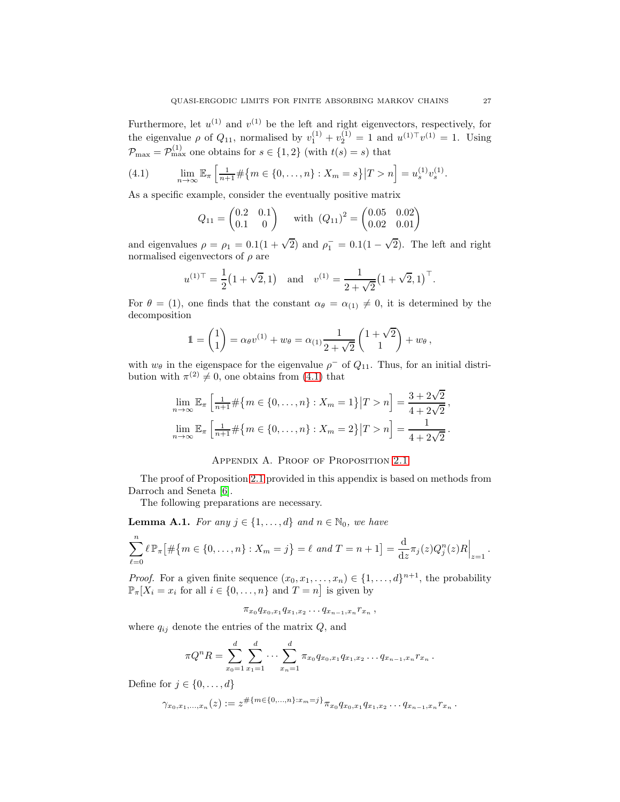Furthermore, let  $u^{(1)}$  and  $v^{(1)}$  be the left and right eigenvectors, respectively, for the eigenvalue  $\rho$  of  $Q_{11}$ , normalised by  $v_1^{(1)} + v_2^{(1)} = 1$  and  $u^{(1) \top} v^{(1)} = 1$ . Using  $\mathcal{P}_{\text{max}} = \mathcal{P}_{\text{max}}^{(1)}$  one obtains for  $s \in \{1, 2\}$  (with  $t(s) = s$ ) that

<span id="page-26-0"></span>(4.1) 
$$
\lim_{n \to \infty} \mathbb{E}_{\pi} \left[ \frac{1}{n+1} \# \{ m \in \{ 0, \ldots, n \} : X_m = s \} | T > n \right] = u_s^{(1)} v_s^{(1)}.
$$

As a specific example, consider the eventually positive matrix

$$
Q_{11} = \begin{pmatrix} 0.2 & 0.1 \\ 0.1 & 0 \end{pmatrix} \quad \text{with } (Q_{11})^2 = \begin{pmatrix} 0.05 & 0.02 \\ 0.02 & 0.01 \end{pmatrix}
$$

and eigenvalues  $\rho = \rho_1 = 0.1(1 + \sqrt{2})$  and  $\rho_1^- = 0.1(1 - \sqrt{2})$ . The left and right normalised eigenvectors of  $\rho$  are

$$
u^{(1) \top} = \frac{1}{2} (1 + \sqrt{2}, 1)
$$
 and  $v^{(1)} = \frac{1}{2 + \sqrt{2}} (1 + \sqrt{2}, 1)^\top$ .

For  $\theta = (1)$ , one finds that the constant  $\alpha_{\theta} = \alpha_{(1)} \neq 0$ , it is determined by the decomposition

$$
1 = {1 \choose 1} = \alpha_{\theta} v^{(1)} + w_{\theta} = \alpha_{(1)} \frac{1}{2 + \sqrt{2}} {1 + \sqrt{2} \choose 1} + w_{\theta},
$$

with  $w_{\theta}$  in the eigenspace for the eigenvalue  $\rho^-$  of  $Q_{11}$ . Thus, for an initial distribution with  $\pi^{(2)} \neq 0$ , one obtains from [\(4.1\)](#page-26-0) that

$$
\lim_{n \to \infty} \mathbb{E}_{\pi} \left[ \frac{1}{n+1} \# \{ m \in \{ 0, \dots, n \} : X_m = 1 \} | T > n \right] = \frac{3 + 2\sqrt{2}}{4 + 2\sqrt{2}},
$$
  

$$
\lim_{n \to \infty} \mathbb{E}_{\pi} \left[ \frac{1}{n+1} \# \{ m \in \{ 0, \dots, n \} : X_m = 2 \} | T > n \right] = \frac{1}{4 + 2\sqrt{2}}.
$$

### APPENDIX A. PROOF OF PROPOSITION [2.1](#page-2-1)

The proof of Proposition [2.1](#page-2-1) provided in this appendix is based on methods from Darroch and Seneta [\[6\]](#page-28-0).

The following preparations are necessary.

**Lemma A.1.** *For any*  $j \in \{1, ..., d\}$  *and*  $n \in \mathbb{N}_0$ *, we have* 

$$
\sum_{\ell=0}^n \ell \, \mathbb{P}_{\pi} \big[ \# \big\{ m \in \{0, \ldots, n\} : X_m = j \big\} = \ell \text{ and } T = n+1 \big] = \frac{d}{dz} \pi_j(z) Q_j^n(z) R \Big|_{z=1}.
$$

*Proof.* For a given finite sequence  $(x_0, x_1, \ldots, x_n) \in \{1, \ldots, d\}^{n+1}$ , the probability  $\mathbb{P}_{\pi}[X_i = x_i \text{ for all } i \in \{0, ..., n\} \text{ and } T = n]$  is given by

 $\pi_{x_0} q_{x_0,x_1} q_{x_1,x_2} \dots q_{x_{n-1},x_n} r_{x_n}$ 

where  $q_{ij}$  denote the entries of the matrix  $Q$ , and

$$
\pi Q^n R = \sum_{x_0=1}^d \sum_{x_1=1}^d \cdots \sum_{x_n=1}^d \pi_{x_0} q_{x_0,x_1} q_{x_1,x_2} \ldots q_{x_{n-1},x_n} r_{x_n}.
$$

Define for  $j \in \{0, \ldots, d\}$ 

$$
\gamma_{x_0,x_1,\ldots,x_n}(z) := z^{\#\{m\in\{0,\ldots,n\}:x_m=j\}} \pi_{x_0} q_{x_0,x_1} q_{x_1,x_2} \ldots q_{x_{n-1},x_n} r_{x_n} \,.
$$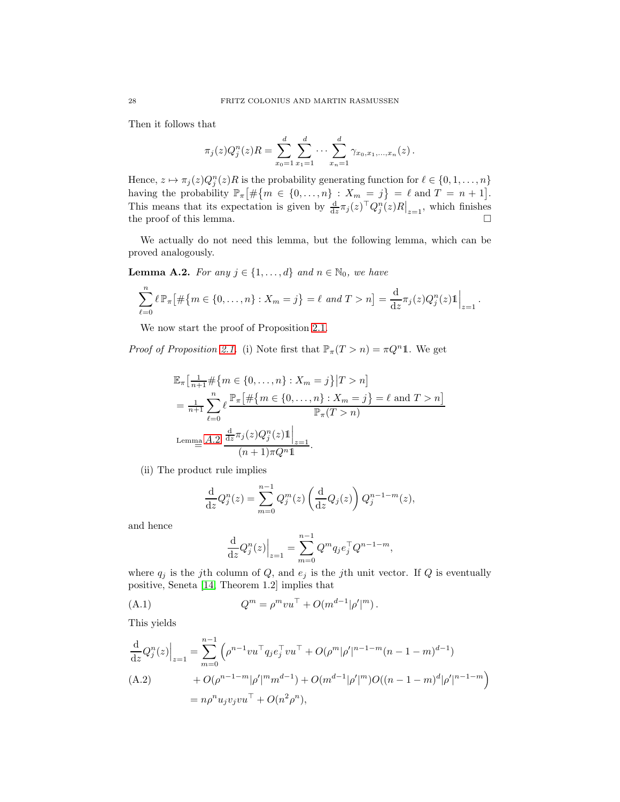Then it follows that

$$
\pi_j(z)Q_j^n(z)R = \sum_{x_0=1}^d \sum_{x_1=1}^d \cdots \sum_{x_n=1}^d \gamma_{x_0,x_1,\ldots,x_n}(z).
$$

Hence,  $z \mapsto \pi_j(z)Q_j^n(z)R$  is the probability generating function for  $\ell \in \{0, 1, \ldots, n\}$ having the probability  $\mathbb{P}_{\pi} \left[ \# \{ m \in \{0, ..., n\} : X_m = j \} = \ell \text{ and } T = n + 1 \right]$ . This means that its expectation is given by  $\frac{d}{dz}\pi_j(z)^\top Q^n_j(z)R|_{z=1}$ , which finishes the proof of this lemma.  $\square$ 

We actually do not need this lemma, but the following lemma, which can be proved analogously.

<span id="page-27-0"></span>**Lemma A.2.** *For any*  $j \in \{1, ..., d\}$  *and*  $n \in \mathbb{N}_0$ *, we have* 

$$
\sum_{\ell=0}^n \ell \, \mathbb{P}_{\pi} \big[ \# \big\{ m \in \{0, \ldots, n\} : X_m = j \big\} = \ell \text{ and } T > n \big] = \frac{d}{dz} \pi_j(z) Q_j^n(z) \mathbb{1} \Big|_{z=1}.
$$

We now start the proof of Proposition [2.1.](#page-2-1)

*Proof of Proposition [2.1.](#page-2-1)* (i) Note first that  $\mathbb{P}_{\pi}(T > n) = \pi Q^n 1$ . We get

$$
\mathbb{E}_{\pi} \left[ \frac{1}{n+1} \# \{ m \in \{ 0, \dots, n \} : X_m = j \} | T > n \right]
$$
  
= 
$$
\frac{1}{n+1} \sum_{\ell=0}^{n} \ell \frac{\mathbb{P}_{\pi} \left[ \# \{ m \in \{ 0, \dots, n \} : X_m = j \} = \ell \text{ and } T > n \right]}{\mathbb{P}_{\pi}(T > n)}
$$
  
Lemma A.2 
$$
\frac{\frac{d}{dz} \pi_j(z) Q_j^n(z) \mathbb{1} \Big|_{z=1}}{(n+1) \pi Q^n \mathbb{1}}.
$$

(ii) The product rule implies

$$
\frac{\mathrm{d}}{\mathrm{d}z}Q_j^n(z) = \sum_{m=0}^{n-1} Q_j^m(z) \left( \frac{\mathrm{d}}{\mathrm{d}z} Q_j(z) \right) Q_j^{n-1-m}(z),
$$

and hence

<span id="page-27-1"></span>
$$
\frac{\mathrm{d}}{\mathrm{d}z}Q_j^n(z)\Big|_{z=1} = \sum_{m=0}^{n-1} Q^m q_j e_j^\top Q^{n-1-m},
$$

where  $q_j$  is the jth column of Q, and  $e_j$  is the jth unit vector. If Q is eventually positive, Seneta [\[14,](#page-29-5) Theorem 1.2] implies that

(A.1) 
$$
Q^m = \rho^m v u^\top + O(m^{d-1}|\rho'|^m).
$$

This yields

<span id="page-27-2"></span>
$$
\frac{d}{dz}Q_j^n(z)\Big|_{z=1} = \sum_{m=0}^{n-1} \left(\rho^{n-1}vu^\top q_j e_j^\top vu^\top + O(\rho^m|\rho'|^{n-1-m}(n-1-m)^{d-1})\right)
$$
  
(A.2) 
$$
+ O(\rho^{n-1-m}|\rho'|^m m^{d-1}) + O(m^{d-1}|\rho'|^m)O((n-1-m)^d|\rho'|^{n-1-m})
$$

$$
= n\rho^n u_j v_j vu^\top + O(n^2\rho^n),
$$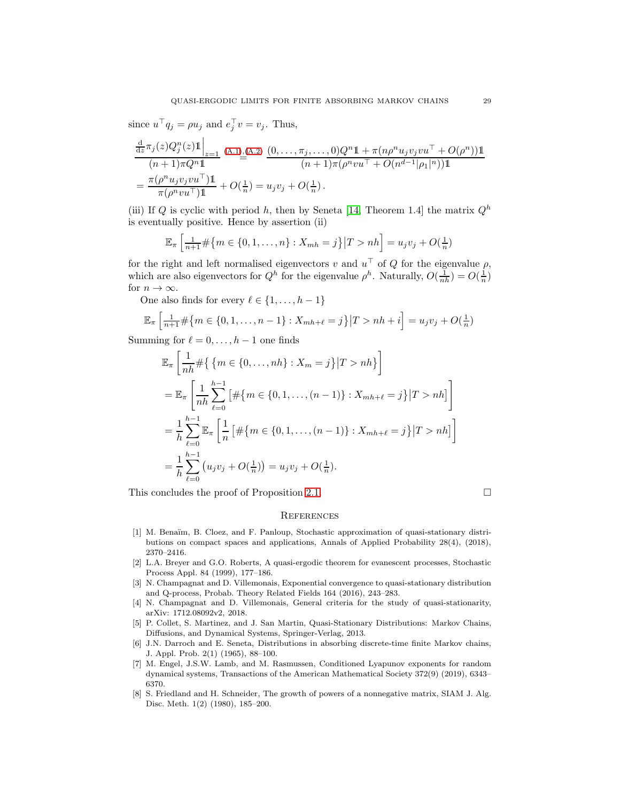since  $u^{\top}q_j = \rho u_j$  and  $e_j^{\top} v = v_j$ . Thus,

$$
\frac{\frac{d}{dz}\pi_j(z)Q_j^n(z)1\Big|_{z=1}}{(n+1)\pi Q^n 1} \xrightarrow{(A.1),(A.2)} \frac{(0,\ldots,\pi_j,\ldots,0)Q^n 1 + \pi (n\rho^n u_j v_j v u^\top + O(\rho^n))1\Big)}{(n+1)\pi (\rho^n v u^\top + O(n^{d-1}|\rho_1|^n))1}
$$
\n
$$
= \frac{\pi (\rho^n u_j v_j v u^\top)1\ \pi (\rho^n v u^\top)1} + O(\frac{1}{n}) = u_j v_j + O(\frac{1}{n}).
$$

(iii) If Q is cyclic with period h, then by Seneta [\[14,](#page-29-5) Theorem 1.4] the matrix  $Q<sup>h</sup>$ is eventually positive. Hence by assertion (ii)

$$
\mathbb{E}_{\pi} \left[ \frac{1}{n+1} \# \{ m \in \{0, 1, \dots, n\} : X_{mh} = j \} | T > nh \right] = u_j v_j + O(\frac{1}{n})
$$

for the right and left normalised eigenvectors v and  $u^{\top}$  of Q for the eigenvalue  $\rho$ , which are also eigenvectors for  $Q^h$  for the eigenvalue  $\rho^h$ . Naturally,  $O(\frac{1}{nh}) = O(\frac{1}{n})$ for  $n \to \infty$ .

One also finds for every  $\ell \in \{1, \ldots, h-1\}$ 

$$
\mathbb{E}_{\pi} \left[ \frac{1}{n+1} \# \{ m \in \{0, 1, \dots, n-1\} : X_{mh+\ell} = j \} | T > nh + i \right] = u_j v_j + O(\frac{1}{n})
$$

Summing for  $\ell = 0, \ldots, h-1$  one finds

$$
\mathbb{E}_{\pi} \left[ \frac{1}{nh} \# \{ \{ m \in \{ 0, ..., nh \} : X_m = j \} | T > nh \} \right]
$$
  
\n
$$
= \mathbb{E}_{\pi} \left[ \frac{1}{nh} \sum_{\ell=0}^{h-1} \left[ \# \{ m \in \{ 0, 1, ..., (n-1) \} : X_{mh+\ell} = j \} | T > nh \right] \right]
$$
  
\n
$$
= \frac{1}{h} \sum_{\ell=0}^{h-1} \mathbb{E}_{\pi} \left[ \frac{1}{n} \left[ \# \{ m \in \{ 0, 1, ..., (n-1) \} : X_{mh+\ell} = j \} | T > nh \right] \right]
$$
  
\n
$$
= \frac{1}{h} \sum_{\ell=0}^{h-1} (u_j v_j + O(\frac{1}{n})) = u_j v_j + O(\frac{1}{n}).
$$

This concludes the proof of Proposition [2.1.](#page-2-1)  $\Box$ 

#### **REFERENCES**

- <span id="page-28-7"></span>[1] M. Benaïm, B. Cloez, and F. Panloup, Stochastic approximation of quasi-stationary distributions on compact spaces and applications, Annals of Applied Probability 28(4), (2018), 2370–2416.
- <span id="page-28-4"></span>[2] L.A. Breyer and G.O. Roberts, A quasi-ergodic theorem for evanescent processes, Stochastic Process Appl. 84 (1999), 177–186.
- <span id="page-28-2"></span>[3] N. Champagnat and D. Villemonais, Exponential convergence to quasi-stationary distribution and Q-process, Probab. Theory Related Fields 164 (2016), 243–283.
- <span id="page-28-3"></span>[4] N. Champagnat and D. Villemonais, General criteria for the study of quasi-stationarity, arXiv: 1712.08092v2, 2018.
- <span id="page-28-1"></span>[5] P. Collet, S. Martinez, and J. San Martin, Quasi-Stationary Distributions: Markov Chains, Diffusions, and Dynamical Systems, Springer-Verlag, 2013.
- <span id="page-28-0"></span>[6] J.N. Darroch and E. Seneta, Distributions in absorbing discrete-time finite Markov chains, J. Appl. Prob. 2(1) (1965), 88–100.
- <span id="page-28-5"></span>[7] M. Engel, J.S.W. Lamb, and M. Rasmussen, Conditioned Lyapunov exponents for random dynamical systems, Transactions of the American Mathematical Society 372(9) (2019), 6343– 6370.
- <span id="page-28-6"></span>[8] S. Friedland and H. Schneider, The growth of powers of a nonnegative matrix, SIAM J. Alg. Disc. Meth. 1(2) (1980), 185–200.